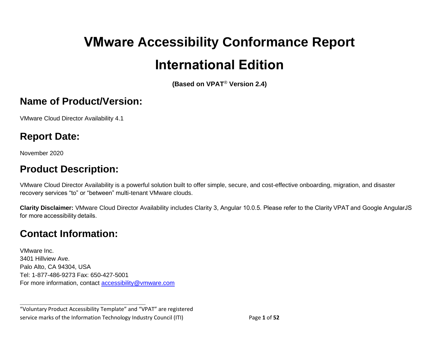# **VMware Accessibility Conformance Report International Edition**

**(Based on VPAT**® **Version 2.4)**

#### **Name of Product/Version:**

VMware Cloud Director Availability 4.1

### **Report Date:**

November 2020

# **Product Description:**

VMware Cloud Director Availability is a powerful solution built to offer simple, secure, and cost-effective onboarding, migration, and disaster recovery services "to" or "between" multi-tenant VMware clouds.

**Clarity Disclaimer:** VMware Cloud Director Availability includes Clarity 3, Angular 10.0.5. Please refer to the Clarity VPAT and Google AngularJS for more accessibility details.

# **Contact Information:**

VMware Inc. 3401 Hillview Ave. Palo Alto, CA 94304, USA Tel: 1-877-486-9273 Fax: 650-427-5001 For more information, contact [accessibility@vmware.com](mailto:accessibility@vmware.com)

**\_\_\_\_\_\_\_\_\_\_\_\_\_\_\_\_\_\_\_\_\_\_\_\_\_\_\_\_\_\_\_\_\_\_**

"Voluntary Product Accessibility Template" and "VPAT" are registered service marks of the Information Technology Industry Council (ITI) Page **1** of **52**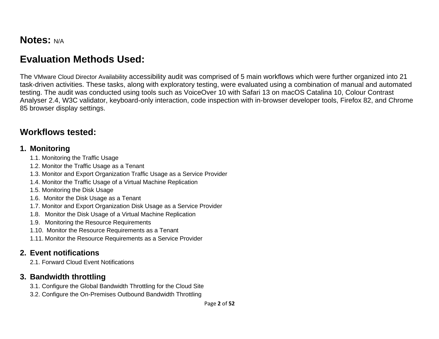#### **Notes:** N/A

# **Evaluation Methods Used:**

The VMware Cloud Director Availability accessibility audit was comprised of 5 main workflows which were further organized into 21 task-driven activities. These tasks, along with exploratory testing, were evaluated using a combination of manual and automated testing. The audit was conducted using tools such as VoiceOver 10 with Safari 13 on macOS Catalina 10, Colour Contrast Analyser 2.4, W3C validator, keyboard-only interaction, code inspection with in-browser developer tools, Firefox 82, and Chrome 85 browser display settings.

#### **Workflows tested:**

#### **1. Monitoring**

- 1.1. Monitoring the Traffic Usage
- 1.2. Monitor the Traffic Usage as a Tenant
- 1.3. Monitor and Export Organization Traffic Usage as a Service Provider
- 1.4. Monitor the Traffic Usage of a Virtual Machine Replication
- 1.5. Monitoring the Disk Usage
- 1.6. Monitor the Disk Usage as a Tenant
- 1.7. Monitor and Export Organization Disk Usage as a Service Provider
- 1.8. Monitor the Disk Usage of a Virtual Machine Replication
- 1.9. Monitoring the Resource Requirements
- 1.10. Monitor the Resource Requirements as a Tenant
- 1.11. Monitor the Resource Requirements as a Service Provider

#### **2. Event notifications**

2.1. Forward Cloud Event Notifications

#### **3. Bandwidth throttling**

- 3.1. Configure the Global Bandwidth Throttling for the Cloud Site
- 3.2. Configure the On-Premises Outbound Bandwidth Throttling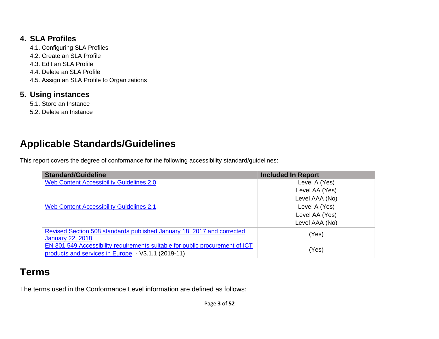#### **4. SLA Profiles**

4.1. Configuring SLA Profiles 4.2. Create an SLA Profile 4.3. Edit an SLA Profile 4.4. Delete an SLA Profile 4.5. Assign an SLA Profile to Organizations

#### **5. Using instances**

- 5.1. Store an Instance
- 5.2. Delete an Instance

# **Applicable Standards/Guidelines**

This report covers the degree of conformance for the following accessibility standard/guidelines:

| <b>Standard/Guideline</b>                                                                                                         | <b>Included In Report</b> |
|-----------------------------------------------------------------------------------------------------------------------------------|---------------------------|
| <b>Web Content Accessibility Guidelines 2.0</b>                                                                                   | Level A (Yes)             |
|                                                                                                                                   | Level AA (Yes)            |
|                                                                                                                                   | Level AAA (No)            |
| <b>Web Content Accessibility Guidelines 2.1</b>                                                                                   | Level A (Yes)             |
|                                                                                                                                   | Level AA (Yes)            |
|                                                                                                                                   | Level AAA (No)            |
| Revised Section 508 standards published January 18, 2017 and corrected<br><b>January 22, 2018</b>                                 | (Yes)                     |
| EN 301 549 Accessibility requirements suitable for public procurement of ICT<br>products and services in Europe, V3.1.1 (2019-11) | (Yes)                     |

# **Terms**

The terms used in the Conformance Level information are defined as follows: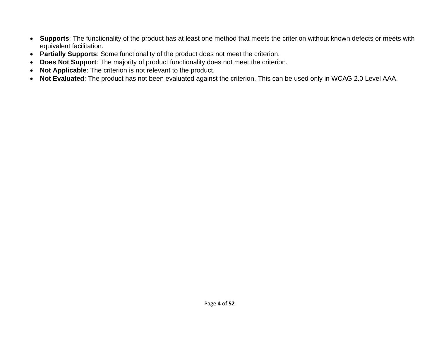- **Supports**: The functionality of the product has at least one method that meets the criterion without known defects or meets with equivalent facilitation.
- **Partially Supports**: Some functionality of the product does not meet the criterion.
- **Does Not Support**: The majority of product functionality does not meet the criterion.
- **Not Applicable**: The criterion is not relevant to the product.
- <span id="page-3-0"></span>• **Not Evaluated**: The product has not been evaluated against the criterion. This can be used only in WCAG 2.0 Level AAA.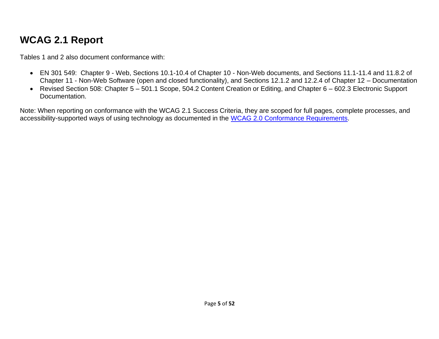# **WCAG 2.1 Report**

Tables 1 and 2 also document conformance with:

- EN 301 549: Chapter 9 Web, Sections 10.1-10.4 of Chapter 10 Non-Web documents, and Sections 11.1-11.4 and 11.8.2 of Chapter 11 - Non-Web Software (open and closed functionality), and Sections 12.1.2 and 12.2.4 of Chapter 12 – Documentation
- Revised Section 508: Chapter 5 501.1 Scope, 504.2 Content Creation or Editing, and Chapter 6 602.3 Electronic Support Documentation.

Note: When reporting on conformance with the WCAG 2.1 Success Criteria, they are scoped for full pages, complete processes, and accessibility-supported ways of using technology as documented in the [WCAG 2.0 Conformance Requirements.](https://www.w3.org/TR/WCAG20/#conformance-reqs)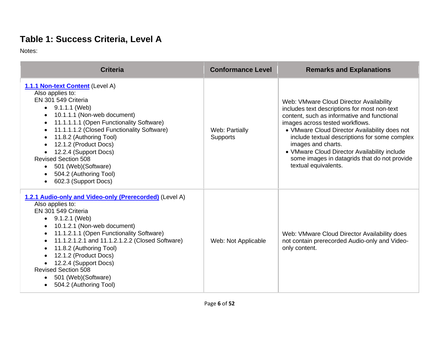# **Table 1: Success Criteria, Level A**

Notes:

| <b>Criteria</b>                                                                                                                                                                                                                                                                                                                                                                                                                                | <b>Conformance Level</b>          | <b>Remarks and Explanations</b>                                                                                                                                                                                                                                                                                                                                                                                           |
|------------------------------------------------------------------------------------------------------------------------------------------------------------------------------------------------------------------------------------------------------------------------------------------------------------------------------------------------------------------------------------------------------------------------------------------------|-----------------------------------|---------------------------------------------------------------------------------------------------------------------------------------------------------------------------------------------------------------------------------------------------------------------------------------------------------------------------------------------------------------------------------------------------------------------------|
| 1.1.1 Non-text Content (Level A)<br>Also applies to:<br>EN 301 549 Criteria<br>$\bullet$ 9.1.1.1 (Web)<br>10.1.1.1 (Non-web document)<br>11.1.1.1.1 (Open Functionality Software)<br>11.1.1.1.2 (Closed Functionality Software)<br>$\bullet$<br>11.8.2 (Authoring Tool)<br>12.1.2 (Product Docs)<br>12.2.4 (Support Docs)<br><b>Revised Section 508</b><br>501 (Web) (Software)<br>$\bullet$<br>504.2 (Authoring Tool)<br>602.3 (Support Docs) | Web: Partially<br><b>Supports</b> | Web: VMware Cloud Director Availability<br>includes text descriptions for most non-text<br>content, such as informative and functional<br>images across tested workflows.<br>• VMware Cloud Director Availability does not<br>include textual descriptions for some complex<br>images and charts.<br>• VMware Cloud Director Availability include<br>some images in datagrids that do not provide<br>textual equivalents. |
| 1.2.1 Audio-only and Video-only (Prerecorded) (Level A)<br>Also applies to:<br>EN 301 549 Criteria<br>$\bullet$ 9.1.2.1 (Web)<br>10.1.2.1 (Non-web document)<br>11.1.2.1.1 (Open Functionality Software)<br>11.1.2.1.2.1 and 11.1.2.1.2.2 (Closed Software)<br>$\bullet$<br>11.8.2 (Authoring Tool)<br>12.1.2 (Product Docs)<br>12.2.4 (Support Docs)<br><b>Revised Section 508</b><br>501 (Web) (Software)<br>504.2 (Authoring Tool)          | Web: Not Applicable               | Web: VMware Cloud Director Availability does<br>not contain prerecorded Audio-only and Video-<br>only content.                                                                                                                                                                                                                                                                                                            |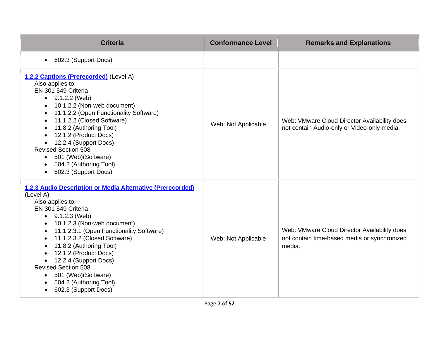| <b>Criteria</b>                                                                                                                                                                                                                                                                                                                                                                                                                                 | <b>Conformance Level</b> | <b>Remarks and Explanations</b>                                                                        |
|-------------------------------------------------------------------------------------------------------------------------------------------------------------------------------------------------------------------------------------------------------------------------------------------------------------------------------------------------------------------------------------------------------------------------------------------------|--------------------------|--------------------------------------------------------------------------------------------------------|
| 602.3 (Support Docs)<br>$\bullet$                                                                                                                                                                                                                                                                                                                                                                                                               |                          |                                                                                                        |
| 1.2.2 Captions (Prerecorded) (Level A)<br>Also applies to:<br>EN 301 549 Criteria<br>$\bullet$ 9.1.2.2 (Web)<br>10.1.2.2 (Non-web document)<br>11.1.2.2 (Open Functionality Software)<br>11.1.2.2 (Closed Software)<br>11.8.2 (Authoring Tool)<br>12.1.2 (Product Docs)<br>12.2.4 (Support Docs)<br><b>Revised Section 508</b><br>501 (Web) (Software)<br>504.2 (Authoring Tool)<br>602.3 (Support Docs)                                        | Web: Not Applicable      | Web: VMware Cloud Director Availability does<br>not contain Audio-only or Video-only media.            |
| 1.2.3 Audio Description or Media Alternative (Prerecorded)<br>(Level A)<br>Also applies to:<br>EN 301 549 Criteria<br>$\bullet$ 9.1.2.3 (Web)<br>10.1.2.3 (Non-web document)<br>11.1.2.3.1 (Open Functionality Software)<br>11.1.2.3.2 (Closed Software)<br>11.8.2 (Authoring Tool)<br>12.1.2 (Product Docs)<br>12.2.4 (Support Docs)<br><b>Revised Section 508</b><br>• 501 (Web) (Software)<br>504.2 (Authoring Tool)<br>602.3 (Support Docs) | Web: Not Applicable      | Web: VMware Cloud Director Availability does<br>not contain time-based media or synchronized<br>media. |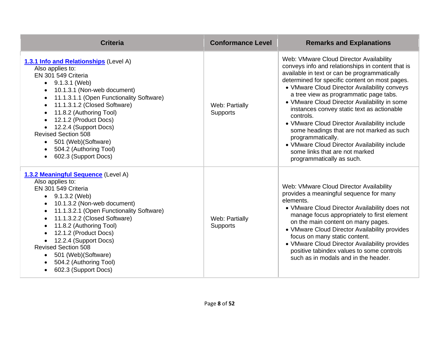| <b>Criteria</b>                                                                                                                                                                                                                                                                                                                                                                                                           | <b>Conformance Level</b>   | <b>Remarks and Explanations</b>                                                                                                                                                                                                                                                                                                                                                                                                                                                                                                                                                                                                      |
|---------------------------------------------------------------------------------------------------------------------------------------------------------------------------------------------------------------------------------------------------------------------------------------------------------------------------------------------------------------------------------------------------------------------------|----------------------------|--------------------------------------------------------------------------------------------------------------------------------------------------------------------------------------------------------------------------------------------------------------------------------------------------------------------------------------------------------------------------------------------------------------------------------------------------------------------------------------------------------------------------------------------------------------------------------------------------------------------------------------|
| 1.3.1 Info and Relationships (Level A)<br>Also applies to:<br>EN 301 549 Criteria<br>$\bullet$ 9.1.3.1 (Web)<br>10.1.3.1 (Non-web document)<br>11.1.3.1.1 (Open Functionality Software)<br>11.1.3.1.2 (Closed Software)<br>11.8.2 (Authoring Tool)<br>12.1.2 (Product Docs)<br>12.2.4 (Support Docs)<br><b>Revised Section 508</b><br>501 (Web) (Software)<br>$\bullet$<br>504.2 (Authoring Tool)<br>602.3 (Support Docs) | Web: Partially<br>Supports | Web: VMware Cloud Director Availability<br>conveys info and relationships in content that is<br>available in text or can be programmatically<br>determined for specific content on most pages.<br>• VMware Cloud Director Availability conveys<br>a tree view as programmatic page tabs.<br>• VMware Cloud Director Availability in some<br>instances convey static text as actionable<br>controls.<br>• VMware Cloud Director Availability include<br>some headings that are not marked as such<br>programmatically.<br>• VMware Cloud Director Availability include<br>some links that are not marked<br>programmatically as such. |
| 1.3.2 Meaningful Sequence (Level A)<br>Also applies to:<br>EN 301 549 Criteria<br>$\bullet$ 9.1.3.2 (Web)<br>10.1.3.2 (Non-web document)<br>11.1.3.2.1 (Open Functionality Software)<br>11.1.3.2.2 (Closed Software)<br>11.8.2 (Authoring Tool)<br>12.1.2 (Product Docs)<br>12.2.4 (Support Docs)<br><b>Revised Section 508</b><br>501 (Web) (Software)<br>$\bullet$<br>504.2 (Authoring Tool)<br>602.3 (Support Docs)    | Web: Partially<br>Supports | Web: VMware Cloud Director Availability<br>provides a meaningful sequence for many<br>elements.<br>• VMware Cloud Director Availability does not<br>manage focus appropriately to first element<br>on the main content on many pages.<br>• VMware Cloud Director Availability provides<br>focus on many static content.<br>• VMware Cloud Director Availability provides<br>positive tabindex values to some controls<br>such as in modals and in the header.                                                                                                                                                                        |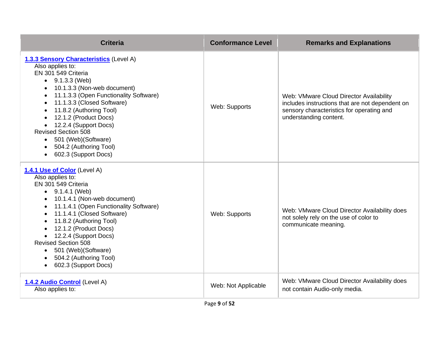| <b>Criteria</b>                                                                                                                                                                                                                                                                                                                                                                                                                    | <b>Conformance Level</b> | <b>Remarks and Explanations</b>                                                                                                                                   |
|------------------------------------------------------------------------------------------------------------------------------------------------------------------------------------------------------------------------------------------------------------------------------------------------------------------------------------------------------------------------------------------------------------------------------------|--------------------------|-------------------------------------------------------------------------------------------------------------------------------------------------------------------|
| 1.3.3 Sensory Characteristics (Level A)<br>Also applies to:<br>EN 301 549 Criteria<br>$\bullet$ 9.1.3.3 (Web)<br>10.1.3.3 (Non-web document)<br>11.1.3.3 (Open Functionality Software)<br>$\bullet$<br>11.1.3.3 (Closed Software)<br>11.8.2 (Authoring Tool)<br>12.1.2 (Product Docs)<br>12.2.4 (Support Docs)<br><b>Revised Section 508</b><br>501 (Web)(Software)<br>$\bullet$<br>504.2 (Authoring Tool)<br>602.3 (Support Docs) | Web: Supports            | Web: VMware Cloud Director Availability<br>includes instructions that are not dependent on<br>sensory characteristics for operating and<br>understanding content. |
| 1.4.1 Use of Color (Level A)<br>Also applies to:<br>EN 301 549 Criteria<br>$\bullet$ 9.1.4.1 (Web)<br>10.1.4.1 (Non-web document)<br>11.1.4.1 (Open Functionality Software)<br>11.1.4.1 (Closed Software)<br>11.8.2 (Authoring Tool)<br>12.1.2 (Product Docs)<br>12.2.4 (Support Docs)<br><b>Revised Section 508</b><br>501 (Web) (Software)<br>504.2 (Authoring Tool)<br>602.3 (Support Docs)                                     | Web: Supports            | Web: VMware Cloud Director Availability does<br>not solely rely on the use of color to<br>communicate meaning.                                                    |
| 1.4.2 Audio Control (Level A)<br>Also applies to:                                                                                                                                                                                                                                                                                                                                                                                  | Web: Not Applicable      | Web: VMware Cloud Director Availability does<br>not contain Audio-only media.                                                                                     |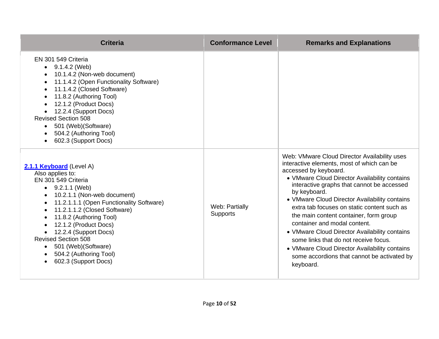| <b>Criteria</b>                                                                                                                                                                                                                                                                                                                                                                                               | <b>Conformance Level</b>          | <b>Remarks and Explanations</b>                                                                                                                                                                                                                                                                                                                                                                                                                                                                                                                                                                                     |
|---------------------------------------------------------------------------------------------------------------------------------------------------------------------------------------------------------------------------------------------------------------------------------------------------------------------------------------------------------------------------------------------------------------|-----------------------------------|---------------------------------------------------------------------------------------------------------------------------------------------------------------------------------------------------------------------------------------------------------------------------------------------------------------------------------------------------------------------------------------------------------------------------------------------------------------------------------------------------------------------------------------------------------------------------------------------------------------------|
| EN 301 549 Criteria<br>9.1.4.2 (Web)<br>$\bullet$<br>10.1.4.2 (Non-web document)<br>11.1.4.2 (Open Functionality Software)<br>11.1.4.2 (Closed Software)<br>11.8.2 (Authoring Tool)<br>12.1.2 (Product Docs)<br>12.2.4 (Support Docs)<br><b>Revised Section 508</b><br>501 (Web) (Software)<br>504.2 (Authoring Tool)<br>602.3 (Support Docs)                                                                 |                                   |                                                                                                                                                                                                                                                                                                                                                                                                                                                                                                                                                                                                                     |
| 2.1.1 Keyboard (Level A)<br>Also applies to:<br>EN 301 549 Criteria<br>$\bullet$ 9.2.1.1 (Web)<br>10.2.1.1 (Non-web document)<br>11.2.1.1.1 (Open Functionality Software)<br>11.2.1.1.2 (Closed Software)<br>$\bullet$<br>11.8.2 (Authoring Tool)<br>12.1.2 (Product Docs)<br>12.2.4 (Support Docs)<br><b>Revised Section 508</b><br>• 501 (Web) (Software)<br>504.2 (Authoring Tool)<br>602.3 (Support Docs) | Web: Partially<br><b>Supports</b> | Web: VMware Cloud Director Availability uses<br>interactive elements, most of which can be<br>accessed by keyboard.<br>• VMware Cloud Director Availability contains<br>interactive graphs that cannot be accessed<br>by keyboard.<br>• VMware Cloud Director Availability contains<br>extra tab focuses on static content such as<br>the main content container, form group<br>container and modal content.<br>• VMware Cloud Director Availability contains<br>some links that do not receive focus.<br>• VMware Cloud Director Availability contains<br>some accordions that cannot be activated by<br>keyboard. |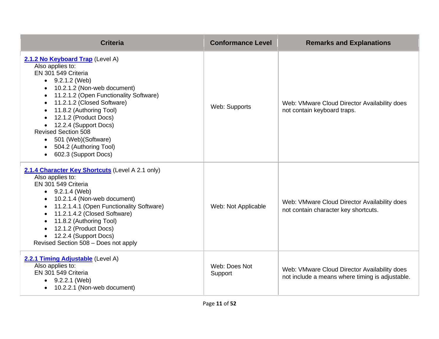| <b>Criteria</b>                                                                                                                                                                                                                                                                                                                                                                                                 | <b>Conformance Level</b> | <b>Remarks and Explanations</b>                                                                 |
|-----------------------------------------------------------------------------------------------------------------------------------------------------------------------------------------------------------------------------------------------------------------------------------------------------------------------------------------------------------------------------------------------------------------|--------------------------|-------------------------------------------------------------------------------------------------|
| 2.1.2 No Keyboard Trap (Level A)<br>Also applies to:<br>EN 301 549 Criteria<br>$\bullet$ 9.2.1.2 (Web)<br>10.2.1.2 (Non-web document)<br>11.2.1.2 (Open Functionality Software)<br>11.2.1.2 (Closed Software)<br>11.8.2 (Authoring Tool)<br>12.1.2 (Product Docs)<br>12.2.4 (Support Docs)<br><b>Revised Section 508</b><br>501 (Web) (Software)<br>$\bullet$<br>504.2 (Authoring Tool)<br>602.3 (Support Docs) | Web: Supports            | Web: VMware Cloud Director Availability does<br>not contain keyboard traps.                     |
| 2.1.4 Character Key Shortcuts (Level A 2.1 only)<br>Also applies to:<br>EN 301 549 Criteria<br>$\bullet$ 9.2.1.4 (Web)<br>10.2.1.4 (Non-web document)<br>11.2.1.4.1 (Open Functionality Software)<br>11.2.1.4.2 (Closed Software)<br>11.8.2 (Authoring Tool)<br>12.1.2 (Product Docs)<br>12.2.4 (Support Docs)<br>Revised Section 508 - Does not apply                                                          | Web: Not Applicable      | Web: VMware Cloud Director Availability does<br>not contain character key shortcuts.            |
| 2.2.1 Timing Adjustable (Level A)<br>Also applies to:<br>EN 301 549 Criteria<br>$\bullet$ 9.2.2.1 (Web)<br>10.2.2.1 (Non-web document)<br>$\bullet$                                                                                                                                                                                                                                                             | Web: Does Not<br>Support | Web: VMware Cloud Director Availability does<br>not include a means where timing is adjustable. |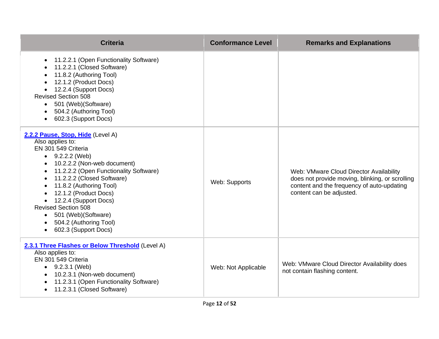| <b>Criteria</b>                                                                                                                                                                                                                                                                                                                                                                                                 | <b>Conformance Level</b> | <b>Remarks and Explanations</b>                                                                                                                                      |
|-----------------------------------------------------------------------------------------------------------------------------------------------------------------------------------------------------------------------------------------------------------------------------------------------------------------------------------------------------------------------------------------------------------------|--------------------------|----------------------------------------------------------------------------------------------------------------------------------------------------------------------|
| 11.2.2.1 (Open Functionality Software)<br>$\bullet$<br>11.2.2.1 (Closed Software)<br>11.8.2 (Authoring Tool)<br>12.1.2 (Product Docs)<br>12.2.4 (Support Docs)<br><b>Revised Section 508</b><br>501 (Web) (Software)<br>$\bullet$<br>504.2 (Authoring Tool)<br>602.3 (Support Docs)                                                                                                                             |                          |                                                                                                                                                                      |
| 2.2.2 Pause, Stop, Hide (Level A)<br>Also applies to:<br>EN 301 549 Criteria<br>$\bullet$ 9.2.2.2 (Web)<br>10.2.2.2 (Non-web document)<br>11.2.2.2 (Open Functionality Software)<br>11.2.2.2 (Closed Software)<br>11.8.2 (Authoring Tool)<br>12.1.2 (Product Docs)<br>12.2.4 (Support Docs)<br><b>Revised Section 508</b><br>501 (Web)(Software)<br>$\bullet$<br>504.2 (Authoring Tool)<br>602.3 (Support Docs) | Web: Supports            | Web: VMware Cloud Director Availability<br>does not provide moving, blinking, or scrolling<br>content and the frequency of auto-updating<br>content can be adjusted. |
| 2.3.1 Three Flashes or Below Threshold (Level A)<br>Also applies to:<br>EN 301 549 Criteria<br>$\bullet$ 9.2.3.1 (Web)<br>10.2.3.1 (Non-web document)<br>11.2.3.1 (Open Functionality Software)<br>11.2.3.1 (Closed Software)                                                                                                                                                                                   | Web: Not Applicable      | Web: VMware Cloud Director Availability does<br>not contain flashing content.                                                                                        |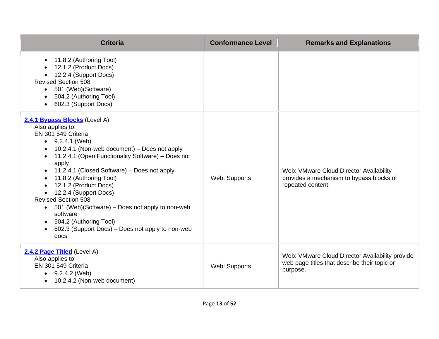| <b>Criteria</b>                                                                                                                                                                                                                                                                                                                                                                                                                                                                                                                                                                        | <b>Conformance Level</b> | <b>Remarks and Explanations</b>                                                                             |
|----------------------------------------------------------------------------------------------------------------------------------------------------------------------------------------------------------------------------------------------------------------------------------------------------------------------------------------------------------------------------------------------------------------------------------------------------------------------------------------------------------------------------------------------------------------------------------------|--------------------------|-------------------------------------------------------------------------------------------------------------|
| 11.8.2 (Authoring Tool)<br>12.1.2 (Product Docs)<br>12.2.4 (Support Docs)<br><b>Revised Section 508</b><br>501 (Web) (Software)<br>$\bullet$<br>504.2 (Authoring Tool)<br>602.3 (Support Docs)<br>$\bullet$                                                                                                                                                                                                                                                                                                                                                                            |                          |                                                                                                             |
| 2.4.1 Bypass Blocks (Level A)<br>Also applies to:<br>EN 301 549 Criteria<br>$\bullet$ 9.2.4.1 (Web)<br>10.2.4.1 (Non-web document) - Does not apply<br>11.2.4.1 (Open Functionality Software) - Does not<br>apply<br>11.2.4.1 (Closed Software) - Does not apply<br>11.8.2 (Authoring Tool)<br>$\bullet$<br>12.1.2 (Product Docs)<br>$\bullet$<br>• 12.2.4 (Support Docs)<br><b>Revised Section 508</b><br>501 (Web)(Software) – Does not apply to non-web<br>software<br>504.2 (Authoring Tool)<br>$\bullet$<br>602.3 (Support Docs) - Does not apply to non-web<br>$\bullet$<br>docs | Web: Supports            | Web: VMware Cloud Director Availability<br>provides a mechanism to bypass blocks of<br>repeated content.    |
| 2.4.2 Page Titled (Level A)<br>Also applies to:<br>EN 301 549 Criteria<br>$\bullet$ 9.2.4.2 (Web)<br>10.2.4.2 (Non-web document)<br>$\bullet$                                                                                                                                                                                                                                                                                                                                                                                                                                          | Web: Supports            | Web: VMware Cloud Director Availability provide<br>web page titles that describe their topic or<br>purpose. |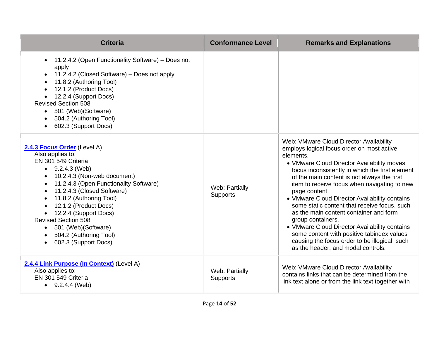| <b>Criteria</b>                                                                                                                                                                                                                                                                                                                                                                                            | <b>Conformance Level</b>          | <b>Remarks and Explanations</b>                                                                                                                                                                                                                                                                                                                                                                                                                                                                                                                                                                                                                                           |
|------------------------------------------------------------------------------------------------------------------------------------------------------------------------------------------------------------------------------------------------------------------------------------------------------------------------------------------------------------------------------------------------------------|-----------------------------------|---------------------------------------------------------------------------------------------------------------------------------------------------------------------------------------------------------------------------------------------------------------------------------------------------------------------------------------------------------------------------------------------------------------------------------------------------------------------------------------------------------------------------------------------------------------------------------------------------------------------------------------------------------------------------|
| 11.2.4.2 (Open Functionality Software) - Does not<br>$\bullet$<br>apply<br>11.2.4.2 (Closed Software) – Does not apply<br>11.8.2 (Authoring Tool)<br>12.1.2 (Product Docs)<br>12.2.4 (Support Docs)<br><b>Revised Section 508</b><br>501 (Web) (Software)<br>$\bullet$<br>504.2 (Authoring Tool)<br>602.3 (Support Docs)                                                                                   |                                   |                                                                                                                                                                                                                                                                                                                                                                                                                                                                                                                                                                                                                                                                           |
| 2.4.3 Focus Order (Level A)<br>Also applies to:<br>EN 301 549 Criteria<br>$\bullet$ 9.2.4.3 (Web)<br>10.2.4.3 (Non-web document)<br>11.2.4.3 (Open Functionality Software)<br>11.2.4.3 (Closed Software)<br>11.8.2 (Authoring Tool)<br>12.1.2 (Product Docs)<br>12.2.4 (Support Docs)<br><b>Revised Section 508</b><br>501 (Web) (Software)<br>$\bullet$<br>504.2 (Authoring Tool)<br>602.3 (Support Docs) | Web: Partially<br><b>Supports</b> | Web: VMware Cloud Director Availability<br>employs logical focus order on most active<br>elements.<br>• VMware Cloud Director Availability moves<br>focus inconsistently in which the first element<br>of the main content is not always the first<br>item to receive focus when navigating to new<br>page content.<br>• VMware Cloud Director Availability contains<br>some static content that receive focus, such<br>as the main content container and form<br>group containers.<br>• VMware Cloud Director Availability contains<br>some content with positive tabindex values<br>causing the focus order to be illogical, such<br>as the header, and modal controls. |
| 2.4.4 Link Purpose (In Context) (Level A)<br>Also applies to:<br>EN 301 549 Criteria<br>$\bullet$ 9.2.4.4 (Web)                                                                                                                                                                                                                                                                                            | Web: Partially<br><b>Supports</b> | Web: VMware Cloud Director Availability<br>contains links that can be determined from the<br>link text alone or from the link text together with                                                                                                                                                                                                                                                                                                                                                                                                                                                                                                                          |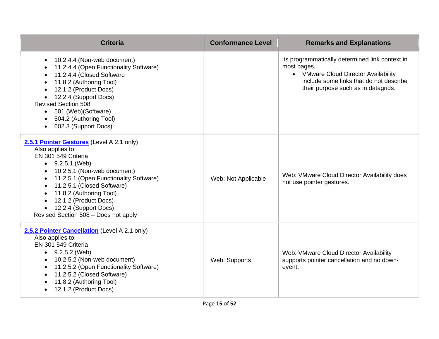| <b>Criteria</b>                                                                                                                                                                                                                                                                                                                             | <b>Conformance Level</b> | <b>Remarks and Explanations</b>                                                                                                                                                          |
|---------------------------------------------------------------------------------------------------------------------------------------------------------------------------------------------------------------------------------------------------------------------------------------------------------------------------------------------|--------------------------|------------------------------------------------------------------------------------------------------------------------------------------------------------------------------------------|
| 10.2.4.4 (Non-web document)<br>$\bullet$<br>11.2.4.4 (Open Functionality Software)<br>11.2.4.4 (Closed Software<br>11.8.2 (Authoring Tool)<br>12.1.2 (Product Docs)<br>12.2.4 (Support Docs)<br><b>Revised Section 508</b><br>501 (Web) (Software)<br>504.2 (Authoring Tool)<br>602.3 (Support Docs)                                        |                          | its programmatically determined link context in<br>most pages.<br>• VMware Cloud Director Availability<br>include some links that do not describe<br>their purpose such as in datagrids. |
| 2.5.1 Pointer Gestures (Level A 2.1 only)<br>Also applies to:<br>EN 301 549 Criteria<br>$\bullet$ 9.2.5.1 (Web)<br>10.2.5.1 (Non-web document)<br>11.2.5.1 (Open Functionality Software)<br>11.2.5.1 (Closed Software)<br>11.8.2 (Authoring Tool)<br>12.1.2 (Product Docs)<br>12.2.4 (Support Docs)<br>Revised Section 508 - Does not apply | Web: Not Applicable      | Web: VMware Cloud Director Availability does<br>not use pointer gestures.                                                                                                                |
| 2.5.2 Pointer Cancellation (Level A 2.1 only)<br>Also applies to:<br>EN 301 549 Criteria<br>$\bullet$ 9.2.5.2 (Web)<br>10.2.5.2 (Non-web document)<br>11.2.5.2 (Open Functionality Software)<br>11.2.5.2 (Closed Software)<br>11.8.2 (Authoring Tool)<br>12.1.2 (Product Docs)                                                              | Web: Supports            | Web: VMware Cloud Director Availability<br>supports pointer cancellation and no down-<br>event.                                                                                          |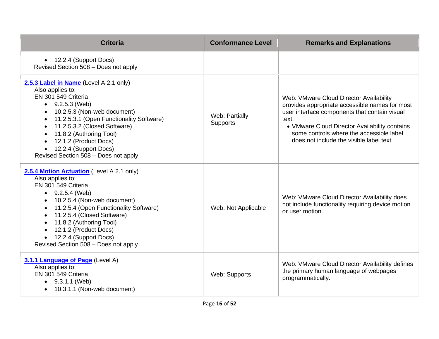| <b>Criteria</b>                                                                                                                                                                                                                                                                                                                              | <b>Conformance Level</b>          | <b>Remarks and Explanations</b>                                                                                                                                                                                                                                                              |
|----------------------------------------------------------------------------------------------------------------------------------------------------------------------------------------------------------------------------------------------------------------------------------------------------------------------------------------------|-----------------------------------|----------------------------------------------------------------------------------------------------------------------------------------------------------------------------------------------------------------------------------------------------------------------------------------------|
| • 12.2.4 (Support Docs)<br>Revised Section 508 - Does not apply                                                                                                                                                                                                                                                                              |                                   |                                                                                                                                                                                                                                                                                              |
| 2.5.3 Label in Name (Level A 2.1 only)<br>Also applies to:<br>EN 301 549 Criteria<br>$\bullet$ 9.2.5.3 (Web)<br>10.2.5.3 (Non-web document)<br>11.2.5.3.1 (Open Functionality Software)<br>11.2.5.3.2 (Closed Software)<br>11.8.2 (Authoring Tool)<br>12.1.2 (Product Docs)<br>12.2.4 (Support Docs)<br>Revised Section 508 - Does not apply | Web: Partially<br><b>Supports</b> | Web: VMware Cloud Director Availability<br>provides appropriate accessible names for most<br>user interface components that contain visual<br>text.<br>• VMware Cloud Director Availability contains<br>some controls where the accessible label<br>does not include the visible label text. |
| 2.5.4 Motion Actuation (Level A 2.1 only)<br>Also applies to:<br>EN 301 549 Criteria<br>$\bullet$ 9.2.5.4 (Web)<br>10.2.5.4 (Non-web document)<br>11.2.5.4 (Open Functionality Software)<br>11.2.5.4 (Closed Software)<br>11.8.2 (Authoring Tool)<br>12.1.2 (Product Docs)<br>12.2.4 (Support Docs)<br>Revised Section 508 - Does not apply  | Web: Not Applicable               | Web: VMware Cloud Director Availability does<br>not include functionality requiring device motion<br>or user motion.                                                                                                                                                                         |
| 3.1.1 Language of Page (Level A)<br>Also applies to:<br>EN 301 549 Criteria<br>$\bullet$ 9.3.1.1 (Web)<br>• 10.3.1.1 (Non-web document)                                                                                                                                                                                                      | Web: Supports                     | Web: VMware Cloud Director Availability defines<br>the primary human language of webpages<br>programmatically.                                                                                                                                                                               |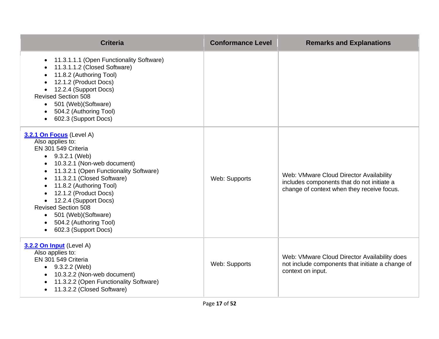| <b>Criteria</b>                                                                                                                                                                                                                                                                                                                                                                                          | <b>Conformance Level</b> | <b>Remarks and Explanations</b>                                                                                                     |
|----------------------------------------------------------------------------------------------------------------------------------------------------------------------------------------------------------------------------------------------------------------------------------------------------------------------------------------------------------------------------------------------------------|--------------------------|-------------------------------------------------------------------------------------------------------------------------------------|
| 11.3.1.1.1 (Open Functionality Software)<br>$\bullet$<br>11.3.1.1.2 (Closed Software)<br>11.8.2 (Authoring Tool)<br>12.1.2 (Product Docs)<br>12.2.4 (Support Docs)<br><b>Revised Section 508</b><br>501 (Web) (Software)<br>$\bullet$<br>504.2 (Authoring Tool)<br>602.3 (Support Docs)                                                                                                                  |                          |                                                                                                                                     |
| 3.2.1 On Focus (Level A)<br>Also applies to:<br>EN 301 549 Criteria<br>$\bullet$ 9.3.2.1 (Web)<br>10.3.2.1 (Non-web document)<br>11.3.2.1 (Open Functionality Software)<br>11.3.2.1 (Closed Software)<br>11.8.2 (Authoring Tool)<br>12.1.2 (Product Docs)<br>• 12.2.4 (Support Docs)<br><b>Revised Section 508</b><br>501 (Web)(Software)<br>$\bullet$<br>504.2 (Authoring Tool)<br>602.3 (Support Docs) | Web: Supports            | Web: VMware Cloud Director Availability<br>includes components that do not initiate a<br>change of context when they receive focus. |
| 3.2.2 On Input (Level A)<br>Also applies to:<br>EN 301 549 Criteria<br>• $9.3.2.2$ (Web)<br>10.3.2.2 (Non-web document)<br>11.3.2.2 (Open Functionality Software)<br>11.3.2.2 (Closed Software)                                                                                                                                                                                                          | Web: Supports            | Web: VMware Cloud Director Availability does<br>not include components that initiate a change of<br>context on input.               |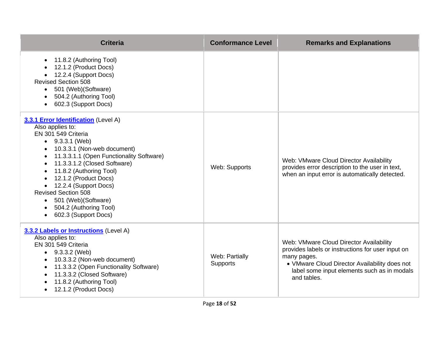| <b>Criteria</b>                                                                                                                                                                                                                                                                                                                                                                                                           | <b>Conformance Level</b>   | <b>Remarks and Explanations</b>                                                                                                                                                                                            |
|---------------------------------------------------------------------------------------------------------------------------------------------------------------------------------------------------------------------------------------------------------------------------------------------------------------------------------------------------------------------------------------------------------------------------|----------------------------|----------------------------------------------------------------------------------------------------------------------------------------------------------------------------------------------------------------------------|
| 11.8.2 (Authoring Tool)<br>12.1.2 (Product Docs)<br>12.2.4 (Support Docs)<br><b>Revised Section 508</b><br>501 (Web) (Software)<br>$\bullet$<br>504.2 (Authoring Tool)<br>602.3 (Support Docs)                                                                                                                                                                                                                            |                            |                                                                                                                                                                                                                            |
| 3.3.1 Error Identification (Level A)<br>Also applies to:<br>EN 301 549 Criteria<br>$\bullet$ 9.3.3.1 (Web)<br>10.3.3.1 (Non-web document)<br>11.3.3.1.1 (Open Functionality Software)<br>11.3.3.1.2 (Closed Software)<br>11.8.2 (Authoring Tool)<br>12.1.2 (Product Docs)<br>12.2.4 (Support Docs)<br><b>Revised Section 508</b><br>• 501 (Web) (Software)<br>504.2 (Authoring Tool)<br>602.3 (Support Docs)<br>$\bullet$ | Web: Supports              | Web: VMware Cloud Director Availability<br>provides error description to the user in text,<br>when an input error is automatically detected.                                                                               |
| 3.3.2 Labels or Instructions (Level A)<br>Also applies to:<br>EN 301 549 Criteria<br>$\bullet$ 9.3.3.2 (Web)<br>10.3.3.2 (Non-web document)<br>11.3.3.2 (Open Functionality Software)<br>11.3.3.2 (Closed Software)<br>11.8.2 (Authoring Tool)<br>12.1.2 (Product Docs)                                                                                                                                                   | Web: Partially<br>Supports | Web: VMware Cloud Director Availability<br>provides labels or instructions for user input on<br>many pages.<br>• VMware Cloud Director Availability does not<br>label some input elements such as in modals<br>and tables. |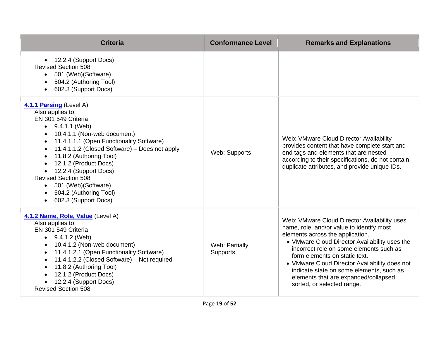| <b>Criteria</b>                                                                                                                                                                                                                                                                                                                                                                                                             | <b>Conformance Level</b>          | <b>Remarks and Explanations</b>                                                                                                                                                                                                                                                                                                                                                                                                |
|-----------------------------------------------------------------------------------------------------------------------------------------------------------------------------------------------------------------------------------------------------------------------------------------------------------------------------------------------------------------------------------------------------------------------------|-----------------------------------|--------------------------------------------------------------------------------------------------------------------------------------------------------------------------------------------------------------------------------------------------------------------------------------------------------------------------------------------------------------------------------------------------------------------------------|
| • 12.2.4 (Support Docs)<br><b>Revised Section 508</b><br>• 501 (Web) (Software)<br>504.2 (Authoring Tool)<br>602.3 (Support Docs)                                                                                                                                                                                                                                                                                           |                                   |                                                                                                                                                                                                                                                                                                                                                                                                                                |
| 4.1.1 Parsing (Level A)<br>Also applies to:<br>EN 301 549 Criteria<br>$\bullet$ 9.4.1.1 (Web)<br>10.4.1.1 (Non-web document)<br>11.4.1.1.1 (Open Functionality Software)<br>11.4.1.1.2 (Closed Software) - Does not apply<br>11.8.2 (Authoring Tool)<br>12.1.2 (Product Docs)<br>12.2.4 (Support Docs)<br><b>Revised Section 508</b><br>501 (Web) (Software)<br>$\bullet$<br>504.2 (Authoring Tool)<br>602.3 (Support Docs) | Web: Supports                     | Web: VMware Cloud Director Availability<br>provides content that have complete start and<br>end tags and elements that are nested<br>according to their specifications, do not contain<br>duplicate attributes, and provide unique IDs.                                                                                                                                                                                        |
| 4.1.2 Name, Role, Value (Level A)<br>Also applies to:<br>EN 301 549 Criteria<br>$\bullet$ 9.4.1.2 (Web)<br>10.4.1.2 (Non-web document)<br>11.4.1.2.1 (Open Functionality Software)<br>$\bullet$<br>11.4.1.2.2 (Closed Software) - Not required<br>11.8.2 (Authoring Tool)<br>12.1.2 (Product Docs)<br>12.2.4 (Support Docs)<br><b>Revised Section 508</b>                                                                   | Web: Partially<br><b>Supports</b> | Web: VMware Cloud Director Availability uses<br>name, role, and/or value to identify most<br>elements across the application.<br>• VMware Cloud Director Availability uses the<br>incorrect role on some elements such as<br>form elements on static text.<br>• VMware Cloud Director Availability does not<br>indicate state on some elements, such as<br>elements that are expanded/collapsed,<br>sorted, or selected range. |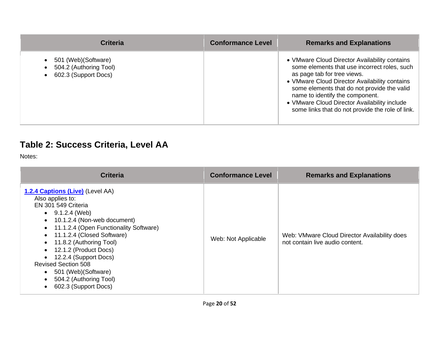| <b>Criteria</b>                                                        | <b>Conformance Level</b> | <b>Remarks and Explanations</b>                                                                                                                                                                                                                                                                                                                                     |
|------------------------------------------------------------------------|--------------------------|---------------------------------------------------------------------------------------------------------------------------------------------------------------------------------------------------------------------------------------------------------------------------------------------------------------------------------------------------------------------|
| 501 (Web) (Software)<br>504.2 (Authoring Tool)<br>602.3 (Support Docs) |                          | • VMware Cloud Director Availability contains<br>some elements that use incorrect roles, such<br>as page tab for tree views.<br>• VMware Cloud Director Availability contains<br>some elements that do not provide the valid<br>name to identify the component.<br>• VMware Cloud Director Availability include<br>some links that do not provide the role of link. |

# **Table 2: Success Criteria, Level AA**

Notes:

| <b>Criteria</b>                                                                                                                                                                                                                                                                                                                                                                                                      | <b>Conformance Level</b> | <b>Remarks and Explanations</b>                                                 |
|----------------------------------------------------------------------------------------------------------------------------------------------------------------------------------------------------------------------------------------------------------------------------------------------------------------------------------------------------------------------------------------------------------------------|--------------------------|---------------------------------------------------------------------------------|
| 1.2.4 Captions (Live) (Level AA)<br>Also applies to:<br>EN 301 549 Criteria<br>$\bullet$ 9.1.2.4 (Web)<br>$\bullet$ 10.1.2.4 (Non-web document)<br>• 11.1.2.4 (Open Functionality Software)<br>• 11.1.2.4 (Closed Software)<br>• 11.8.2 (Authoring Tool)<br>12.1.2 (Product Docs)<br>12.2.4 (Support Docs)<br><b>Revised Section 508</b><br>• 501 (Web) (Software)<br>504.2 (Authoring Tool)<br>602.3 (Support Docs) | Web: Not Applicable      | Web: VMware Cloud Director Availability does<br>not contain live audio content. |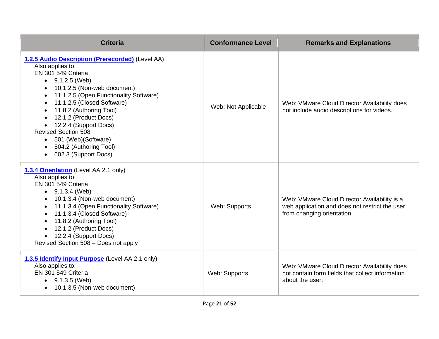| <b>Criteria</b>                                                                                                                                                                                                                                                                                                                                                                                                                 | <b>Conformance Level</b> | <b>Remarks and Explanations</b>                                                                                              |
|---------------------------------------------------------------------------------------------------------------------------------------------------------------------------------------------------------------------------------------------------------------------------------------------------------------------------------------------------------------------------------------------------------------------------------|--------------------------|------------------------------------------------------------------------------------------------------------------------------|
| 1.2.5 Audio Description (Prerecorded) (Level AA)<br>Also applies to:<br>EN 301 549 Criteria<br>$\bullet$ 9.1.2.5 (Web)<br>10.1.2.5 (Non-web document)<br>11.1.2.5 (Open Functionality Software)<br>11.1.2.5 (Closed Software)<br>11.8.2 (Authoring Tool)<br>12.1.2 (Product Docs)<br>12.2.4 (Support Docs)<br><b>Revised Section 508</b><br>501 (Web) (Software)<br>$\bullet$<br>504.2 (Authoring Tool)<br>602.3 (Support Docs) | Web: Not Applicable      | Web: VMware Cloud Director Availability does<br>not include audio descriptions for videos.                                   |
| 1.3.4 Orientation (Level AA 2.1 only)<br>Also applies to:<br>EN 301 549 Criteria<br>$\bullet$ 9.1.3.4 (Web)<br>10.1.3.4 (Non-web document)<br>11.1.3.4 (Open Functionality Software)<br>11.1.3.4 (Closed Software)<br>$\bullet$<br>11.8.2 (Authoring Tool)<br>12.1.2 (Product Docs)<br>12.2.4 (Support Docs)<br>Revised Section 508 - Does not apply                                                                            | Web: Supports            | Web: VMware Cloud Director Availability is a<br>web application and does not restrict the user<br>from changing orientation. |
| 1.3.5 Identify Input Purpose (Level AA 2.1 only)<br>Also applies to:<br>EN 301 549 Criteria<br>$\bullet$ 9.1.3.5 (Web)<br>10.1.3.5 (Non-web document)                                                                                                                                                                                                                                                                           | Web: Supports            | Web: VMware Cloud Director Availability does<br>not contain form fields that collect information<br>about the user.          |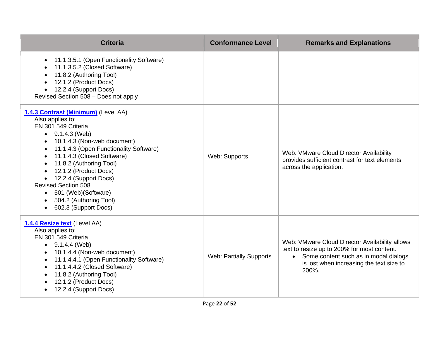| <b>Criteria</b>                                                                                                                                                                                                                                                                                                                                                                                                                              | <b>Conformance Level</b>       | <b>Remarks and Explanations</b>                                                                                                                                                               |
|----------------------------------------------------------------------------------------------------------------------------------------------------------------------------------------------------------------------------------------------------------------------------------------------------------------------------------------------------------------------------------------------------------------------------------------------|--------------------------------|-----------------------------------------------------------------------------------------------------------------------------------------------------------------------------------------------|
| 11.1.3.5.1 (Open Functionality Software)<br>$\bullet$<br>11.1.3.5.2 (Closed Software)<br>11.8.2 (Authoring Tool)<br>12.1.2 (Product Docs)<br>12.2.4 (Support Docs)<br>Revised Section 508 - Does not apply                                                                                                                                                                                                                                   |                                |                                                                                                                                                                                               |
| 1.4.3 Contrast (Minimum) (Level AA)<br>Also applies to:<br>EN 301 549 Criteria<br>$\bullet$ 9.1.4.3 (Web)<br>10.1.4.3 (Non-web document)<br>11.1.4.3 (Open Functionality Software)<br>11.1.4.3 (Closed Software)<br>11.8.2 (Authoring Tool)<br>12.1.2 (Product Docs)<br>12.2.4 (Support Docs)<br><b>Revised Section 508</b><br>501 (Web) (Software)<br>$\bullet$<br>504.2 (Authoring Tool)<br>$\bullet$<br>602.3 (Support Docs)<br>$\bullet$ | Web: Supports                  | Web: VMware Cloud Director Availability<br>provides sufficient contrast for text elements<br>across the application.                                                                          |
| 1.4.4 Resize text (Level AA)<br>Also applies to:<br>EN 301 549 Criteria<br>$\bullet$ 9.1.4.4 (Web)<br>10.1.4.4 (Non-web document)<br>11.1.4.4.1 (Open Functionality Software)<br>$\bullet$<br>11.1.4.4.2 (Closed Software)<br>$\bullet$<br>11.8.2 (Authoring Tool)<br>12.1.2 (Product Docs)<br>12.2.4 (Support Docs)                                                                                                                         | <b>Web: Partially Supports</b> | Web: VMware Cloud Director Availability allows<br>text to resize up to 200% for most content.<br>• Some content such as in modal dialogs<br>is lost when increasing the text size to<br>200%. |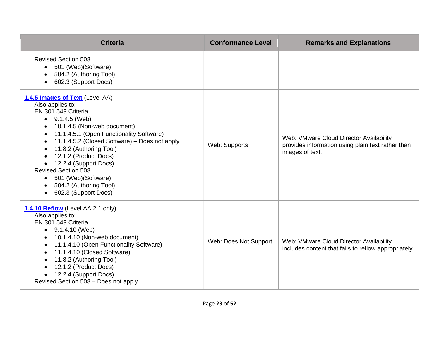| <b>Criteria</b>                                                                                                                                                                                                                                                                                                                                                                                                                                                            | <b>Conformance Level</b> | <b>Remarks and Explanations</b>                                                                                 |
|----------------------------------------------------------------------------------------------------------------------------------------------------------------------------------------------------------------------------------------------------------------------------------------------------------------------------------------------------------------------------------------------------------------------------------------------------------------------------|--------------------------|-----------------------------------------------------------------------------------------------------------------|
| <b>Revised Section 508</b><br>501 (Web) (Software)<br>504.2 (Authoring Tool)<br>602.3 (Support Docs)                                                                                                                                                                                                                                                                                                                                                                       |                          |                                                                                                                 |
| 1.4.5 Images of Text (Level AA)<br>Also applies to:<br>EN 301 549 Criteria<br>$\bullet$ 9.1.4.5 (Web)<br>10.1.4.5 (Non-web document)<br>11.1.4.5.1 (Open Functionality Software)<br>$\bullet$<br>11.1.4.5.2 (Closed Software) - Does not apply<br>$\bullet$<br>11.8.2 (Authoring Tool)<br>12.1.2 (Product Docs)<br>12.2.4 (Support Docs)<br><b>Revised Section 508</b><br>501 (Web) (Software)<br>$\bullet$<br>504.2 (Authoring Tool)<br>602.3 (Support Docs)<br>$\bullet$ | Web: Supports            | Web: VMware Cloud Director Availability<br>provides information using plain text rather than<br>images of text. |
| 1.4.10 Reflow (Level AA 2.1 only)<br>Also applies to:<br>EN 301 549 Criteria<br>$\bullet$ 9.1.4.10 (Web)<br>• 10.1.4.10 (Non-web document)<br>11.1.4.10 (Open Functionality Software)<br>11.1.4.10 (Closed Software)<br>$\bullet$<br>11.8.2 (Authoring Tool)<br>12.1.2 (Product Docs)<br>12.2.4 (Support Docs)<br>Revised Section 508 - Does not apply                                                                                                                     | Web: Does Not Support    | Web: VMware Cloud Director Availability<br>includes content that fails to reflow appropriately.                 |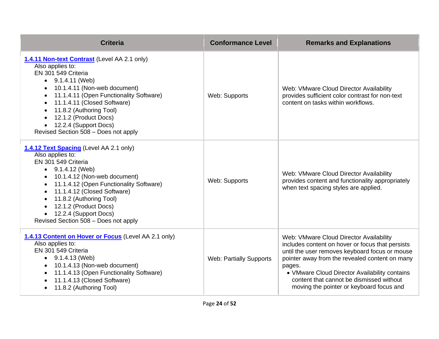| <b>Criteria</b>                                                                                                                                                                                                                                                                                                                                                 | <b>Conformance Level</b>       | <b>Remarks and Explanations</b>                                                                                                                                                                                                                                                                                                                    |
|-----------------------------------------------------------------------------------------------------------------------------------------------------------------------------------------------------------------------------------------------------------------------------------------------------------------------------------------------------------------|--------------------------------|----------------------------------------------------------------------------------------------------------------------------------------------------------------------------------------------------------------------------------------------------------------------------------------------------------------------------------------------------|
| 1.4.11 Non-text Contrast (Level AA 2.1 only)<br>Also applies to:<br>EN 301 549 Criteria<br>$\bullet$ 9.1.4.11 (Web)<br>10.1.4.11 (Non-web document)<br>$\bullet$<br>11.1.4.11 (Open Functionality Software)<br>11.1.4.11 (Closed Software)<br>11.8.2 (Authoring Tool)<br>12.1.2 (Product Docs)<br>12.2.4 (Support Docs)<br>Revised Section 508 - Does not apply | Web: Supports                  | Web: VMware Cloud Director Availability<br>provides sufficient color contrast for non-text<br>content on tasks within workflows.                                                                                                                                                                                                                   |
| 1.4.12 Text Spacing (Level AA 2.1 only)<br>Also applies to:<br>EN 301 549 Criteria<br>9.1.4.12 (Web)<br>10.1.4.12 (Non-web document)<br>11.1.4.12 (Open Functionality Software)<br>$\bullet$<br>11.1.4.12 (Closed Software)<br>$\bullet$<br>11.8.2 (Authoring Tool)<br>12.1.2 (Product Docs)<br>12.2.4 (Support Docs)<br>Revised Section 508 - Does not apply   | Web: Supports                  | Web: VMware Cloud Director Availability<br>provides content and functionality appropriately<br>when text spacing styles are applied.                                                                                                                                                                                                               |
| 1.4.13 Content on Hover or Focus (Level AA 2.1 only)<br>Also applies to:<br>EN 301 549 Criteria<br>$\bullet$ 9.1.4.13 (Web)<br>10.1.4.13 (Non-web document)<br>11.1.4.13 (Open Functionality Software)<br>11.1.4.13 (Closed Software)<br>11.8.2 (Authoring Tool)                                                                                                | <b>Web: Partially Supports</b> | Web: VMware Cloud Director Availability<br>includes content on hover or focus that persists<br>until the user removes keyboard focus or mouse<br>pointer away from the revealed content on many<br>pages.<br>• VMware Cloud Director Availability contains<br>content that cannot be dismissed without<br>moving the pointer or keyboard focus and |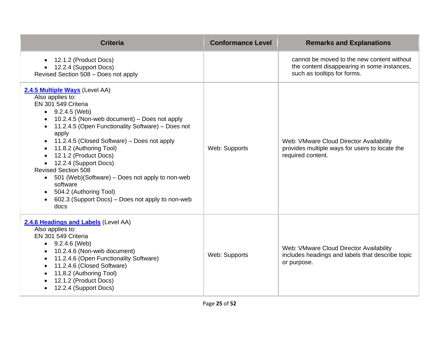| <b>Criteria</b>                                                                                                                                                                                                                                                                                                                                                                                                                                                                                                                                               | <b>Conformance Level</b> | <b>Remarks and Explanations</b>                                                                                          |
|---------------------------------------------------------------------------------------------------------------------------------------------------------------------------------------------------------------------------------------------------------------------------------------------------------------------------------------------------------------------------------------------------------------------------------------------------------------------------------------------------------------------------------------------------------------|--------------------------|--------------------------------------------------------------------------------------------------------------------------|
| 12.1.2 (Product Docs)<br>• 12.2.4 (Support Docs)<br>Revised Section 508 - Does not apply                                                                                                                                                                                                                                                                                                                                                                                                                                                                      |                          | cannot be moved to the new content without<br>the content disappearing in some instances,<br>such as tooltips for forms. |
| 2.4.5 Multiple Ways (Level AA)<br>Also applies to:<br>EN 301 549 Criteria<br>$\bullet$ 9.2.4.5 (Web)<br>10.2.4.5 (Non-web document) - Does not apply<br>11.2.4.5 (Open Functionality Software) - Does not<br>apply<br>11.2.4.5 (Closed Software) – Does not apply<br>11.8.2 (Authoring Tool)<br>12.1.2 (Product Docs)<br>• 12.2.4 (Support Docs)<br><b>Revised Section 508</b><br>501 (Web)(Software) – Does not apply to non-web<br>software<br>504.2 (Authoring Tool)<br>$\bullet$<br>602.3 (Support Docs) – Does not apply to non-web<br>$\bullet$<br>docs | Web: Supports            | Web: VMware Cloud Director Availability<br>provides multiple ways for users to locate the<br>required content.           |
| 2.4.6 Headings and Labels (Level AA)<br>Also applies to:<br>EN 301 549 Criteria<br>$\bullet$ 9.2.4.6 (Web)<br>10.2.4.6 (Non-web document)<br>11.2.4.6 (Open Functionality Software)<br>٠<br>11.2.4.6 (Closed Software)<br>$\bullet$<br>11.8.2 (Authoring Tool)<br>12.1.2 (Product Docs)<br>12.2.4 (Support Docs)<br>$\bullet$                                                                                                                                                                                                                                 | Web: Supports            | Web: VMware Cloud Director Availability<br>includes headings and labels that describe topic<br>or purpose.               |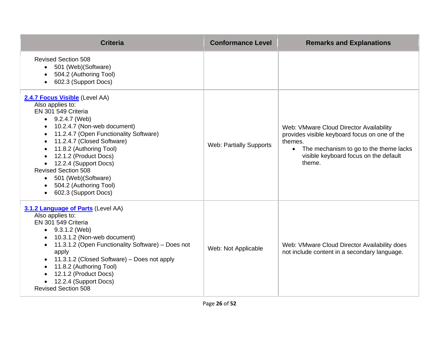| <b>Criteria</b>                                                                                                                                                                                                                                                                                                                                                                                                            | <b>Conformance Level</b>       | <b>Remarks and Explanations</b>                                                                                                                                                                               |
|----------------------------------------------------------------------------------------------------------------------------------------------------------------------------------------------------------------------------------------------------------------------------------------------------------------------------------------------------------------------------------------------------------------------------|--------------------------------|---------------------------------------------------------------------------------------------------------------------------------------------------------------------------------------------------------------|
| <b>Revised Section 508</b><br>• 501 (Web) (Software)<br>504.2 (Authoring Tool)<br>602.3 (Support Docs)                                                                                                                                                                                                                                                                                                                     |                                |                                                                                                                                                                                                               |
| 2.4.7 Focus Visible (Level AA)<br>Also applies to:<br>EN 301 549 Criteria<br>$\bullet$ 9.2.4.7 (Web)<br>10.2.4.7 (Non-web document)<br>11.2.4.7 (Open Functionality Software)<br>11.2.4.7 (Closed Software)<br>11.8.2 (Authoring Tool)<br>12.1.2 (Product Docs)<br>12.2.4 (Support Docs)<br><b>Revised Section 508</b><br>501 (Web) (Software)<br>$\bullet$<br>504.2 (Authoring Tool)<br>602.3 (Support Docs)<br>$\bullet$ | <b>Web: Partially Supports</b> | Web: VMware Cloud Director Availability<br>provides visible keyboard focus on one of the<br>themes.<br>The mechanism to go to the theme lacks<br>$\bullet$<br>visible keyboard focus on the default<br>theme. |
| 3.1.2 Language of Parts (Level AA)<br>Also applies to:<br>EN 301 549 Criteria<br>$\bullet$ 9.3.1.2 (Web)<br>10.3.1.2 (Non-web document)<br>11.3.1.2 (Open Functionality Software) - Does not<br>$\bullet$<br>apply<br>11.3.1.2 (Closed Software) – Does not apply<br>11.8.2 (Authoring Tool)<br>$\bullet$<br>12.1.2 (Product Docs)<br>12.2.4 (Support Docs)<br><b>Revised Section 508</b>                                  | Web: Not Applicable            | Web: VMware Cloud Director Availability does<br>not include content in a secondary language.                                                                                                                  |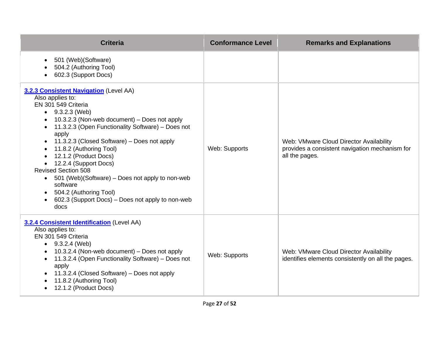| <b>Criteria</b>                                                                                                                                                                                                                                                                                                                                                                                                                                                                                                                                    | <b>Conformance Level</b> | <b>Remarks and Explanations</b>                                                                             |
|----------------------------------------------------------------------------------------------------------------------------------------------------------------------------------------------------------------------------------------------------------------------------------------------------------------------------------------------------------------------------------------------------------------------------------------------------------------------------------------------------------------------------------------------------|--------------------------|-------------------------------------------------------------------------------------------------------------|
| 501 (Web) (Software)<br>$\bullet$<br>504.2 (Authoring Tool)<br>602.3 (Support Docs)                                                                                                                                                                                                                                                                                                                                                                                                                                                                |                          |                                                                                                             |
| <b>3.2.3 Consistent Navigation (Level AA)</b><br>Also applies to:<br>EN 301 549 Criteria<br>$\bullet$ 9.3.2.3 (Web)<br>10.3.2.3 (Non-web document) – Does not apply<br>11.3.2.3 (Open Functionality Software) - Does not<br>apply<br>11.3.2.3 (Closed Software) - Does not apply<br>11.8.2 (Authoring Tool)<br>12.1.2 (Product Docs)<br>12.2.4 (Support Docs)<br><b>Revised Section 508</b><br>• 501 (Web)(Software) – Does not apply to non-web<br>software<br>504.2 (Authoring Tool)<br>602.3 (Support Docs) – Does not apply to non-web<br>docs | Web: Supports            | Web: VMware Cloud Director Availability<br>provides a consistent navigation mechanism for<br>all the pages. |
| 3.2.4 Consistent Identification (Level AA)<br>Also applies to:<br>EN 301 549 Criteria<br>9.3.2.4 (Web)<br>10.3.2.4 (Non-web document) – Does not apply<br>11.3.2.4 (Open Functionality Software) - Does not<br>apply<br>11.3.2.4 (Closed Software) - Does not apply<br>11.8.2 (Authoring Tool)<br>12.1.2 (Product Docs)                                                                                                                                                                                                                            | Web: Supports            | Web: VMware Cloud Director Availability<br>identifies elements consistently on all the pages.               |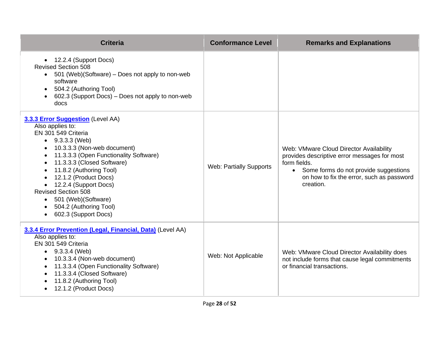| <b>Criteria</b>                                                                                                                                                                                                                                                                                                                                                                                                                 | <b>Conformance Level</b>       | <b>Remarks and Explanations</b>                                                                                                                                                                                         |
|---------------------------------------------------------------------------------------------------------------------------------------------------------------------------------------------------------------------------------------------------------------------------------------------------------------------------------------------------------------------------------------------------------------------------------|--------------------------------|-------------------------------------------------------------------------------------------------------------------------------------------------------------------------------------------------------------------------|
| • 12.2.4 (Support Docs)<br><b>Revised Section 508</b><br>• 501 (Web)(Software) – Does not apply to non-web<br>software<br>504.2 (Authoring Tool)<br>$\bullet$<br>602.3 (Support Docs) - Does not apply to non-web<br>docs                                                                                                                                                                                                       |                                |                                                                                                                                                                                                                         |
| 3.3.3 Error Suggestion (Level AA)<br>Also applies to:<br>EN 301 549 Criteria<br>$\bullet$ 9.3.3.3 (Web)<br>10.3.3.3 (Non-web document)<br>11.3.3.3 (Open Functionality Software)<br>$\bullet$<br>11.3.3.3 (Closed Software)<br>11.8.2 (Authoring Tool)<br>12.1.2 (Product Docs)<br>12.2.4 (Support Docs)<br><b>Revised Section 508</b><br>• 501 (Web) (Software)<br>504.2 (Authoring Tool)<br>602.3 (Support Docs)<br>$\bullet$ | <b>Web: Partially Supports</b> | Web: VMware Cloud Director Availability<br>provides descriptive error messages for most<br>form fields.<br>Some forms do not provide suggestions<br>$\bullet$<br>on how to fix the error, such as password<br>creation. |
| 3.3.4 Error Prevention (Legal, Financial, Data) (Level AA)<br>Also applies to:<br>EN 301 549 Criteria<br>$\bullet$ 9.3.3.4 (Web)<br>10.3.3.4 (Non-web document)<br>11.3.3.4 (Open Functionality Software)<br>11.3.3.4 (Closed Software)<br>$\bullet$<br>11.8.2 (Authoring Tool)<br>12.1.2 (Product Docs)                                                                                                                        | Web: Not Applicable            | Web: VMware Cloud Director Availability does<br>not include forms that cause legal commitments<br>or financial transactions.                                                                                            |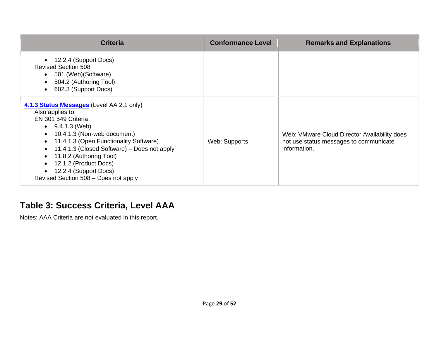| <b>Criteria</b>                                                                                                                                                                                                                                                                                                                                                             | <b>Conformance Level</b> | <b>Remarks and Explanations</b>                                                                        |
|-----------------------------------------------------------------------------------------------------------------------------------------------------------------------------------------------------------------------------------------------------------------------------------------------------------------------------------------------------------------------------|--------------------------|--------------------------------------------------------------------------------------------------------|
| 12.2.4 (Support Docs)<br><b>Revised Section 508</b><br>501 (Web) (Software)<br>504.2 (Authoring Tool)<br>602.3 (Support Docs)                                                                                                                                                                                                                                               |                          |                                                                                                        |
| 4.1.3 Status Messages (Level AA 2.1 only)<br>Also applies to:<br>EN 301 549 Criteria<br>$\bullet$ 9.4.1.3 (Web)<br>• 10.4.1.3 (Non-web document)<br>11.4.1.3 (Open Functionality Software)<br>$\bullet$<br>11.4.1.3 (Closed Software) – Does not apply<br>11.8.2 (Authoring Tool)<br>12.1.2 (Product Docs)<br>12.2.4 (Support Docs)<br>Revised Section 508 - Does not apply | Web: Supports            | Web: VMware Cloud Director Availability does<br>not use status messages to communicate<br>information. |

#### **Table 3: Success Criteria, Level AAA**

Notes: AAA Criteria are not evaluated in this report.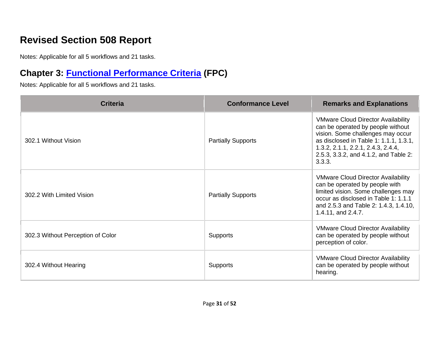# **Revised Section 508 Report**

Notes: Applicable for all 5 workflows and 21 tasks.

# **Chapter 3: [Functional Performance Criteria](https://www.access-board.gov/guidelines-and-standards/communications-and-it/about-the-ict-refresh/final-rule/text-of-the-standards-and-guidelines#302-functional-performance-criteria) (FPC)**

| <b>Criteria</b>                   | <b>Conformance Level</b>  | <b>Remarks and Explanations</b>                                                                                                                                                                                                                        |
|-----------------------------------|---------------------------|--------------------------------------------------------------------------------------------------------------------------------------------------------------------------------------------------------------------------------------------------------|
| 302.1 Without Vision              | <b>Partially Supports</b> | <b>VMware Cloud Director Availability</b><br>can be operated by people without<br>vision. Some challenges may occur<br>as disclosed in Table 1: 1.1.1, 1.3.1,<br>1.3.2, 2.1.1, 2.2.1, 2.4.3, 2.4.4,<br>2.5.3, 3.3.2, and 4.1.2, and Table 2:<br>3.3.3. |
| 302.2 With Limited Vision         | <b>Partially Supports</b> | <b>VMware Cloud Director Availability</b><br>can be operated by people with<br>limited vision. Some challenges may<br>occur as disclosed in Table 1: 1.1.1<br>and 2.5.3 and Table 2: 1.4.3, 1.4.10,<br>1.4.11, and 2.4.7.                              |
| 302.3 Without Perception of Color | <b>Supports</b>           | <b>VMware Cloud Director Availability</b><br>can be operated by people without<br>perception of color.                                                                                                                                                 |
| 302.4 Without Hearing             | <b>Supports</b>           | <b>VMware Cloud Director Availability</b><br>can be operated by people without<br>hearing.                                                                                                                                                             |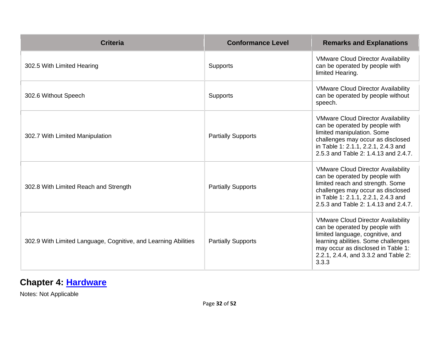| <b>Criteria</b>                                                | <b>Conformance Level</b>  | <b>Remarks and Explanations</b>                                                                                                                                                                                                               |
|----------------------------------------------------------------|---------------------------|-----------------------------------------------------------------------------------------------------------------------------------------------------------------------------------------------------------------------------------------------|
| 302.5 With Limited Hearing                                     | Supports                  | <b>VMware Cloud Director Availability</b><br>can be operated by people with<br>limited Hearing.                                                                                                                                               |
| 302.6 Without Speech                                           | Supports                  | <b>VMware Cloud Director Availability</b><br>can be operated by people without<br>speech.                                                                                                                                                     |
| 302.7 With Limited Manipulation                                | <b>Partially Supports</b> | <b>VMware Cloud Director Availability</b><br>can be operated by people with<br>limited manipulation. Some<br>challenges may occur as disclosed<br>in Table 1: 2.1.1, 2.2.1, 2.4.3 and<br>2.5.3 and Table 2: 1.4.13 and 2.4.7.                 |
| 302.8 With Limited Reach and Strength                          | <b>Partially Supports</b> | <b>VMware Cloud Director Availability</b><br>can be operated by people with<br>limited reach and strength. Some<br>challenges may occur as disclosed<br>in Table 1: 2.1.1, 2.2.1, 2.4.3 and<br>2.5.3 and Table 2: 1.4.13 and 2.4.7.           |
| 302.9 With Limited Language, Cognitive, and Learning Abilities | <b>Partially Supports</b> | <b>VMware Cloud Director Availability</b><br>can be operated by people with<br>limited language, cognitive, and<br>learning abilities. Some challenges<br>may occur as disclosed in Table 1:<br>2.2.1, 2.4.4, and 3.3.2 and Table 2:<br>3.3.3 |

# **Chapter 4: [Hardware](https://www.access-board.gov/guidelines-and-standards/communications-and-it/about-the-ict-refresh/final-rule/text-of-the-standards-and-guidelines#401-general)**

Notes: Not Applicable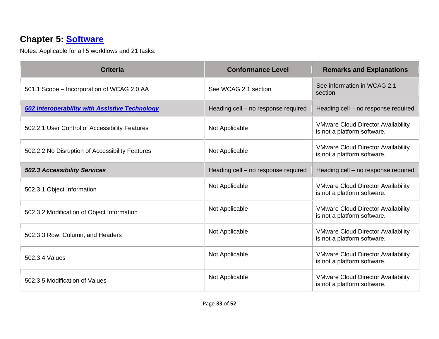# **Chapter 5: [Software](https://www.access-board.gov/guidelines-and-standards/communications-and-it/about-the-ict-refresh/final-rule/text-of-the-standards-and-guidelines#501-general)**

| <b>Criteria</b>                                       | <b>Conformance Level</b>            | <b>Remarks and Explanations</b>                                          |
|-------------------------------------------------------|-------------------------------------|--------------------------------------------------------------------------|
| 501.1 Scope - Incorporation of WCAG 2.0 AA            | See WCAG 2.1 section                | See information in WCAG 2.1<br>section                                   |
| <b>502 Interoperability with Assistive Technology</b> | Heading cell - no response required | Heading cell - no response required                                      |
| 502.2.1 User Control of Accessibility Features        | Not Applicable                      | <b>VMware Cloud Director Availability</b><br>is not a platform software. |
| 502.2.2 No Disruption of Accessibility Features       | Not Applicable                      | <b>VMware Cloud Director Availability</b><br>is not a platform software. |
| <b>502.3 Accessibility Services</b>                   | Heading cell - no response required | Heading cell - no response required                                      |
| 502.3.1 Object Information                            | Not Applicable                      | <b>VMware Cloud Director Availability</b><br>is not a platform software. |
| 502.3.2 Modification of Object Information            | Not Applicable                      | <b>VMware Cloud Director Availability</b><br>is not a platform software. |
| 502.3.3 Row, Column, and Headers                      | Not Applicable                      | <b>VMware Cloud Director Availability</b><br>is not a platform software. |
| 502.3.4 Values                                        | Not Applicable                      | <b>VMware Cloud Director Availability</b><br>is not a platform software. |
| 502.3.5 Modification of Values                        | Not Applicable                      | <b>VMware Cloud Director Availability</b><br>is not a platform software. |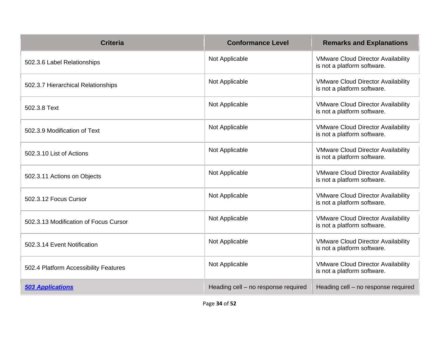| <b>Criteria</b>                       | <b>Conformance Level</b>            | <b>Remarks and Explanations</b>                                          |
|---------------------------------------|-------------------------------------|--------------------------------------------------------------------------|
| 502.3.6 Label Relationships           | Not Applicable                      | <b>VMware Cloud Director Availability</b><br>is not a platform software. |
| 502.3.7 Hierarchical Relationships    | Not Applicable                      | <b>VMware Cloud Director Availability</b><br>is not a platform software. |
| 502.3.8 Text                          | Not Applicable                      | <b>VMware Cloud Director Availability</b><br>is not a platform software. |
| 502.3.9 Modification of Text          | Not Applicable                      | <b>VMware Cloud Director Availability</b><br>is not a platform software. |
| 502.3.10 List of Actions              | Not Applicable                      | <b>VMware Cloud Director Availability</b><br>is not a platform software. |
| 502.3.11 Actions on Objects           | Not Applicable                      | <b>VMware Cloud Director Availability</b><br>is not a platform software. |
| 502.3.12 Focus Cursor                 | Not Applicable                      | <b>VMware Cloud Director Availability</b><br>is not a platform software. |
| 502.3.13 Modification of Focus Cursor | Not Applicable                      | <b>VMware Cloud Director Availability</b><br>is not a platform software. |
| 502.3.14 Event Notification           | Not Applicable                      | <b>VMware Cloud Director Availability</b><br>is not a platform software. |
| 502.4 Platform Accessibility Features | Not Applicable                      | <b>VMware Cloud Director Availability</b><br>is not a platform software. |
| <b>503 Applications</b>               | Heading cell - no response required | Heading cell - no response required                                      |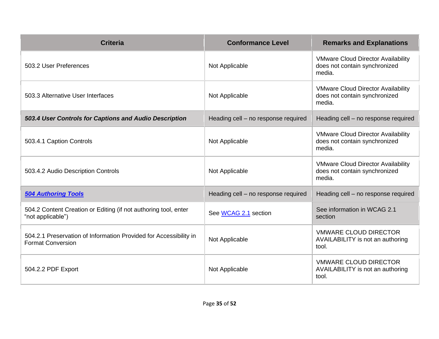| <b>Criteria</b>                                                                               | <b>Conformance Level</b>            | <b>Remarks and Explanations</b>                                                      |
|-----------------------------------------------------------------------------------------------|-------------------------------------|--------------------------------------------------------------------------------------|
| 503.2 User Preferences                                                                        | Not Applicable                      | <b>VMware Cloud Director Availability</b><br>does not contain synchronized<br>media. |
| 503.3 Alternative User Interfaces                                                             | Not Applicable                      | <b>VMware Cloud Director Availability</b><br>does not contain synchronized<br>media. |
| 503.4 User Controls for Captions and Audio Description                                        | Heading cell - no response required | Heading cell - no response required                                                  |
| 503.4.1 Caption Controls                                                                      | Not Applicable                      | <b>VMware Cloud Director Availability</b><br>does not contain synchronized<br>media. |
| 503.4.2 Audio Description Controls                                                            | Not Applicable                      | <b>VMware Cloud Director Availability</b><br>does not contain synchronized<br>media. |
| <b>504 Authoring Tools</b>                                                                    | Heading cell - no response required | Heading cell - no response required                                                  |
| 504.2 Content Creation or Editing (if not authoring tool, enter<br>"not applicable")          | See WCAG 2.1 section                | See information in WCAG 2.1<br>section                                               |
| 504.2.1 Preservation of Information Provided for Accessibility in<br><b>Format Conversion</b> | Not Applicable                      | <b>VMWARE CLOUD DIRECTOR</b><br>AVAILABILITY is not an authoring<br>tool.            |
| 504.2.2 PDF Export                                                                            | Not Applicable                      | <b>VMWARE CLOUD DIRECTOR</b><br>AVAILABILITY is not an authoring<br>tool.            |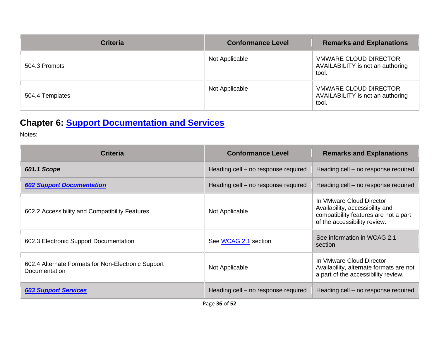| <b>Criteria</b> | <b>Conformance Level</b> | <b>Remarks and Explanations</b>                                           |
|-----------------|--------------------------|---------------------------------------------------------------------------|
| 504.3 Prompts   | Not Applicable           | <b>VMWARE CLOUD DIRECTOR</b><br>AVAILABILITY is not an authoring<br>tool. |
| 504.4 Templates | Not Applicable           | <b>VMWARE CLOUD DIRECTOR</b><br>AVAILABILITY is not an authoring<br>tool. |

# **Chapter 6: [Support Documentation and Services](https://www.access-board.gov/guidelines-and-standards/communications-and-it/about-the-ict-refresh/final-rule/text-of-the-standards-and-guidelines#601-general)**

Notes:

| <b>Criteria</b>                                                     | <b>Conformance Level</b>            | <b>Remarks and Explanations</b>                                                                                                      |
|---------------------------------------------------------------------|-------------------------------------|--------------------------------------------------------------------------------------------------------------------------------------|
| 601.1 Scope                                                         | Heading cell – no response required | Heading cell – no response required                                                                                                  |
| <b>602 Support Documentation</b>                                    | Heading cell – no response required | Heading cell – no response required                                                                                                  |
| 602.2 Accessibility and Compatibility Features                      | Not Applicable                      | In VMware Cloud Director<br>Availability, accessibility and<br>compatibility features are not a part<br>of the accessibility review. |
| 602.3 Electronic Support Documentation                              | See WCAG 2.1 section                | See information in WCAG 2.1<br>section                                                                                               |
| 602.4 Alternate Formats for Non-Electronic Support<br>Documentation | Not Applicable                      | In VMware Cloud Director<br>Availability, alternate formats are not<br>a part of the accessibility review.                           |
| <b>603 Support Services</b>                                         | Heading cell – no response required | Heading cell – no response required                                                                                                  |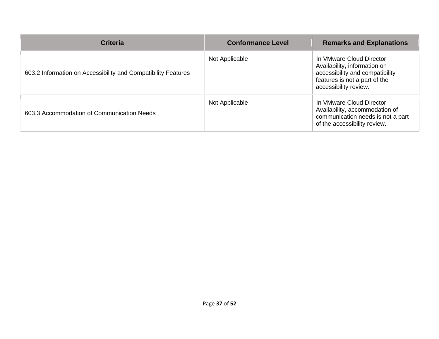| <b>Criteria</b>                                               | <b>Conformance Level</b> | <b>Remarks and Explanations</b>                                                                                                                       |
|---------------------------------------------------------------|--------------------------|-------------------------------------------------------------------------------------------------------------------------------------------------------|
| 603.2 Information on Accessibility and Compatibility Features | Not Applicable           | In VMware Cloud Director<br>Availability, information on<br>accessibility and compatibility<br>features is not a part of the<br>accessibility review. |
| 603.3 Accommodation of Communication Needs                    | Not Applicable           | In VMware Cloud Director<br>Availability, accommodation of<br>communication needs is not a part<br>of the accessibility review.                       |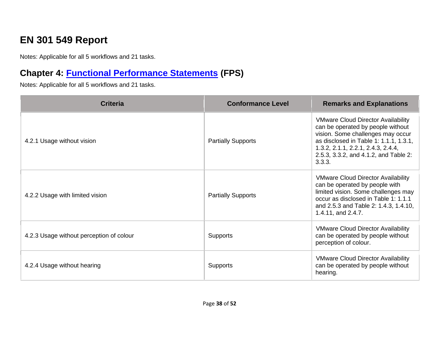# **EN 301 549 Report**

Notes: Applicable for all 5 workflows and 21 tasks.

# **Chapter 4: [Functional Performance Statements](https://www.etsi.org/deliver/etsi_en/301500_301599/301549/03.01.01_60/en_301549v030101p.pdf#%5B%7B%22num%22%3A38%2C%22gen%22%3A0%7D%2C%7B%22name%22%3A%22XYZ%22%7D%2C54%2C747%2C0%5D) (FPS)**

| <b>Criteria</b>                          | <b>Conformance Level</b>  | <b>Remarks and Explanations</b>                                                                                                                                                                                                                        |
|------------------------------------------|---------------------------|--------------------------------------------------------------------------------------------------------------------------------------------------------------------------------------------------------------------------------------------------------|
| 4.2.1 Usage without vision               | <b>Partially Supports</b> | <b>VMware Cloud Director Availability</b><br>can be operated by people without<br>vision. Some challenges may occur<br>as disclosed in Table 1: 1.1.1, 1.3.1,<br>1.3.2, 2.1.1, 2.2.1, 2.4.3, 2.4.4,<br>2.5.3, 3.3.2, and 4.1.2, and Table 2:<br>3.3.3. |
| 4.2.2 Usage with limited vision          | <b>Partially Supports</b> | <b>VMware Cloud Director Availability</b><br>can be operated by people with<br>limited vision. Some challenges may<br>occur as disclosed in Table 1: 1.1.1<br>and 2.5.3 and Table 2: 1.4.3, 1.4.10,<br>1.4.11, and 2.4.7.                              |
| 4.2.3 Usage without perception of colour | <b>Supports</b>           | <b>VMware Cloud Director Availability</b><br>can be operated by people without<br>perception of colour.                                                                                                                                                |
| 4.2.4 Usage without hearing              | <b>Supports</b>           | <b>VMware Cloud Director Availability</b><br>can be operated by people without<br>hearing.                                                                                                                                                             |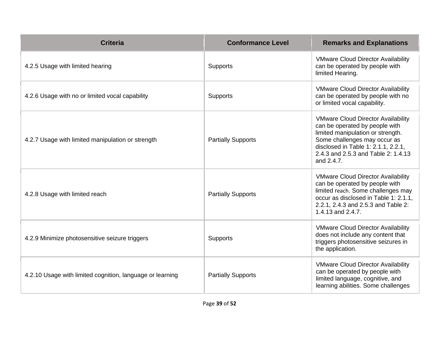| <b>Criteria</b>                                           | <b>Conformance Level</b>  | <b>Remarks and Explanations</b>                                                                                                                                                                                                              |
|-----------------------------------------------------------|---------------------------|----------------------------------------------------------------------------------------------------------------------------------------------------------------------------------------------------------------------------------------------|
| 4.2.5 Usage with limited hearing                          | <b>Supports</b>           | <b>VMware Cloud Director Availability</b><br>can be operated by people with<br>limited Hearing.                                                                                                                                              |
| 4.2.6 Usage with no or limited vocal capability           | Supports                  | <b>VMware Cloud Director Availability</b><br>can be operated by people with no<br>or limited vocal capability.                                                                                                                               |
| 4.2.7 Usage with limited manipulation or strength         | <b>Partially Supports</b> | <b>VMware Cloud Director Availability</b><br>can be operated by people with<br>limited manipulation or strength.<br>Some challenges may occur as<br>disclosed in Table 1: 2.1.1, 2.2.1,<br>2.4.3 and 2.5.3 and Table 2: 1.4.13<br>and 2.4.7. |
| 4.2.8 Usage with limited reach                            | <b>Partially Supports</b> | <b>VMware Cloud Director Availability</b><br>can be operated by people with<br>limited reach. Some challenges may<br>occur as disclosed in Table 1: 2.1.1,<br>2.2.1, 2.4.3 and 2.5.3 and Table 2:<br>1.4.13 and 2.4.7.                       |
| 4.2.9 Minimize photosensitive seizure triggers            | Supports                  | <b>VMware Cloud Director Availability</b><br>does not include any content that<br>triggers photosensitive seizures in<br>the application.                                                                                                    |
| 4.2.10 Usage with limited cognition, language or learning | <b>Partially Supports</b> | <b>VMware Cloud Director Availability</b><br>can be operated by people with<br>limited language, cognitive, and<br>learning abilities. Some challenges                                                                                       |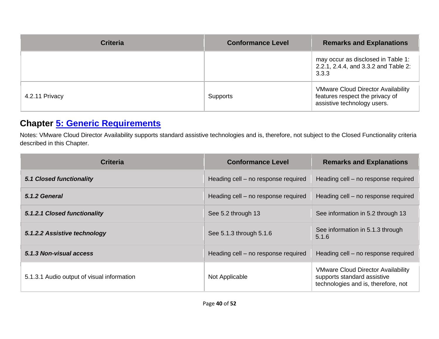| <b>Criteria</b> | <b>Conformance Level</b> | <b>Remarks and Explanations</b>                                                                             |
|-----------------|--------------------------|-------------------------------------------------------------------------------------------------------------|
|                 |                          | may occur as disclosed in Table 1:<br>2.2.1, 2.4.4, and 3.3.2 and Table 2:<br>3.3.3                         |
| 4.2.11 Privacy  | Supports                 | <b>VMware Cloud Director Availability</b><br>features respect the privacy of<br>assistive technology users. |

### **Chapter [5: Generic Requirements](https://www.etsi.org/deliver/etsi_en/301500_301599/301549/03.01.01_60/en_301549v030101p.pdf#%5B%7B%22num%22%3A45%2C%22gen%22%3A0%7D%2C%7B%22name%22%3A%22XYZ%22%7D%2C54%2C747%2C0%5D)**

Notes: VMware Cloud Director Availability supports standard assistive technologies and is, therefore, not subject to the Closed Functionality criteria described in this Chapter.

| <b>Criteria</b>                            | <b>Conformance Level</b>            | <b>Remarks and Explanations</b>                                                                                 |
|--------------------------------------------|-------------------------------------|-----------------------------------------------------------------------------------------------------------------|
| <b>5.1 Closed functionality</b>            | Heading cell – no response required | Heading cell – no response required                                                                             |
| 5.1.2 General                              | Heading cell – no response required | Heading cell - no response required                                                                             |
| 5.1.2.1 Closed functionality               | See 5.2 through 13                  | See information in 5.2 through 13                                                                               |
| 5.1.2.2 Assistive technology               | See 5.1.3 through 5.1.6             | See information in 5.1.3 through<br>5.1.6                                                                       |
| 5.1.3 Non-visual access                    | Heading cell – no response required | Heading cell – no response required                                                                             |
| 5.1.3.1 Audio output of visual information | Not Applicable                      | <b>VMware Cloud Director Availability</b><br>supports standard assistive<br>technologies and is, therefore, not |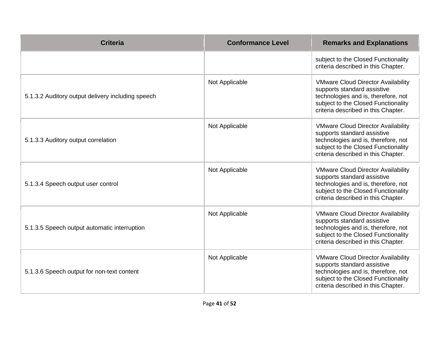| <b>Criteria</b>                                   | <b>Conformance Level</b> | <b>Remarks and Explanations</b>                                                                                                                                                               |
|---------------------------------------------------|--------------------------|-----------------------------------------------------------------------------------------------------------------------------------------------------------------------------------------------|
|                                                   |                          | subject to the Closed Functionality<br>criteria described in this Chapter.                                                                                                                    |
| 5.1.3.2 Auditory output delivery including speech | Not Applicable           | <b>VMware Cloud Director Availability</b><br>supports standard assistive<br>technologies and is, therefore, not<br>subject to the Closed Functionality<br>criteria described in this Chapter. |
| 5.1.3.3 Auditory output correlation               | Not Applicable           | <b>VMware Cloud Director Availability</b><br>supports standard assistive<br>technologies and is, therefore, not<br>subject to the Closed Functionality<br>criteria described in this Chapter. |
| 5.1.3.4 Speech output user control                | Not Applicable           | <b>VMware Cloud Director Availability</b><br>supports standard assistive<br>technologies and is, therefore, not<br>subject to the Closed Functionality<br>criteria described in this Chapter. |
| 5.1.3.5 Speech output automatic interruption      | Not Applicable           | <b>VMware Cloud Director Availability</b><br>supports standard assistive<br>technologies and is, therefore, not<br>subject to the Closed Functionality<br>criteria described in this Chapter. |
| 5.1.3.6 Speech output for non-text content        | Not Applicable           | <b>VMware Cloud Director Availability</b><br>supports standard assistive<br>technologies and is, therefore, not<br>subject to the Closed Functionality<br>criteria described in this Chapter. |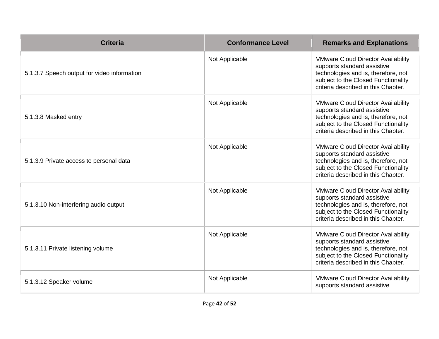| <b>Criteria</b>                             | <b>Conformance Level</b> | <b>Remarks and Explanations</b>                                                                                                                                                               |
|---------------------------------------------|--------------------------|-----------------------------------------------------------------------------------------------------------------------------------------------------------------------------------------------|
| 5.1.3.7 Speech output for video information | Not Applicable           | <b>VMware Cloud Director Availability</b><br>supports standard assistive<br>technologies and is, therefore, not<br>subject to the Closed Functionality<br>criteria described in this Chapter. |
| 5.1.3.8 Masked entry                        | Not Applicable           | <b>VMware Cloud Director Availability</b><br>supports standard assistive<br>technologies and is, therefore, not<br>subject to the Closed Functionality<br>criteria described in this Chapter. |
| 5.1.3.9 Private access to personal data     | Not Applicable           | <b>VMware Cloud Director Availability</b><br>supports standard assistive<br>technologies and is, therefore, not<br>subject to the Closed Functionality<br>criteria described in this Chapter. |
| 5.1.3.10 Non-interfering audio output       | Not Applicable           | <b>VMware Cloud Director Availability</b><br>supports standard assistive<br>technologies and is, therefore, not<br>subject to the Closed Functionality<br>criteria described in this Chapter. |
| 5.1.3.11 Private listening volume           | Not Applicable           | <b>VMware Cloud Director Availability</b><br>supports standard assistive<br>technologies and is, therefore, not<br>subject to the Closed Functionality<br>criteria described in this Chapter. |
| 5.1.3.12 Speaker volume                     | Not Applicable           | <b>VMware Cloud Director Availability</b><br>supports standard assistive                                                                                                                      |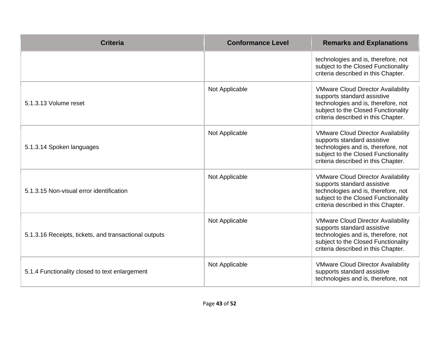| <b>Criteria</b>                                       | <b>Conformance Level</b> | <b>Remarks and Explanations</b>                                                                                                                                                               |
|-------------------------------------------------------|--------------------------|-----------------------------------------------------------------------------------------------------------------------------------------------------------------------------------------------|
|                                                       |                          | technologies and is, therefore, not<br>subject to the Closed Functionality<br>criteria described in this Chapter.                                                                             |
| 5.1.3.13 Volume reset                                 | Not Applicable           | <b>VMware Cloud Director Availability</b><br>supports standard assistive<br>technologies and is, therefore, not<br>subject to the Closed Functionality<br>criteria described in this Chapter. |
| 5.1.3.14 Spoken languages                             | Not Applicable           | <b>VMware Cloud Director Availability</b><br>supports standard assistive<br>technologies and is, therefore, not<br>subject to the Closed Functionality<br>criteria described in this Chapter. |
| 5.1.3.15 Non-visual error identification              | Not Applicable           | <b>VMware Cloud Director Availability</b><br>supports standard assistive<br>technologies and is, therefore, not<br>subject to the Closed Functionality<br>criteria described in this Chapter. |
| 5.1.3.16 Receipts, tickets, and transactional outputs | Not Applicable           | <b>VMware Cloud Director Availability</b><br>supports standard assistive<br>technologies and is, therefore, not<br>subject to the Closed Functionality<br>criteria described in this Chapter. |
| 5.1.4 Functionality closed to text enlargement        | Not Applicable           | <b>VMware Cloud Director Availability</b><br>supports standard assistive<br>technologies and is, therefore, not                                                                               |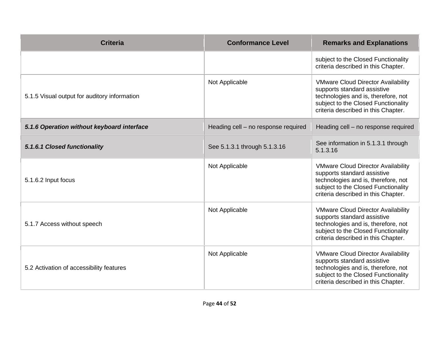| <b>Criteria</b>                              | <b>Conformance Level</b>            | <b>Remarks and Explanations</b>                                                                                                                                                               |
|----------------------------------------------|-------------------------------------|-----------------------------------------------------------------------------------------------------------------------------------------------------------------------------------------------|
|                                              |                                     | subject to the Closed Functionality<br>criteria described in this Chapter.                                                                                                                    |
| 5.1.5 Visual output for auditory information | Not Applicable                      | <b>VMware Cloud Director Availability</b><br>supports standard assistive<br>technologies and is, therefore, not<br>subject to the Closed Functionality<br>criteria described in this Chapter. |
| 5.1.6 Operation without keyboard interface   | Heading cell - no response required | Heading cell - no response required                                                                                                                                                           |
| 5.1.6.1 Closed functionality                 | See 5.1.3.1 through 5.1.3.16        | See information in 5.1.3.1 through<br>5.1.3.16                                                                                                                                                |
| 5.1.6.2 Input focus                          | Not Applicable                      | <b>VMware Cloud Director Availability</b><br>supports standard assistive<br>technologies and is, therefore, not<br>subject to the Closed Functionality<br>criteria described in this Chapter. |
| 5.1.7 Access without speech                  | Not Applicable                      | <b>VMware Cloud Director Availability</b><br>supports standard assistive<br>technologies and is, therefore, not<br>subject to the Closed Functionality<br>criteria described in this Chapter. |
| 5.2 Activation of accessibility features     | Not Applicable                      | <b>VMware Cloud Director Availability</b><br>supports standard assistive<br>technologies and is, therefore, not<br>subject to the Closed Functionality<br>criteria described in this Chapter. |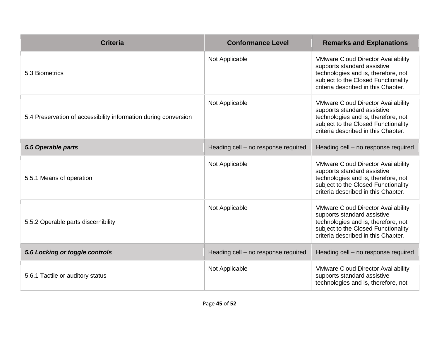| <b>Criteria</b>                                                 | <b>Conformance Level</b>            | <b>Remarks and Explanations</b>                                                                                                                                                               |
|-----------------------------------------------------------------|-------------------------------------|-----------------------------------------------------------------------------------------------------------------------------------------------------------------------------------------------|
| 5.3 Biometrics                                                  | Not Applicable                      | <b>VMware Cloud Director Availability</b><br>supports standard assistive<br>technologies and is, therefore, not<br>subject to the Closed Functionality<br>criteria described in this Chapter. |
| 5.4 Preservation of accessibility information during conversion | Not Applicable                      | <b>VMware Cloud Director Availability</b><br>supports standard assistive<br>technologies and is, therefore, not<br>subject to the Closed Functionality<br>criteria described in this Chapter. |
| 5.5 Operable parts                                              | Heading cell - no response required | Heading cell - no response required                                                                                                                                                           |
| 5.5.1 Means of operation                                        | Not Applicable                      | <b>VMware Cloud Director Availability</b><br>supports standard assistive<br>technologies and is, therefore, not<br>subject to the Closed Functionality<br>criteria described in this Chapter. |
| 5.5.2 Operable parts discernibility                             | Not Applicable                      | <b>VMware Cloud Director Availability</b><br>supports standard assistive<br>technologies and is, therefore, not<br>subject to the Closed Functionality<br>criteria described in this Chapter. |
| 5.6 Locking or toggle controls                                  | Heading cell - no response required | Heading cell - no response required                                                                                                                                                           |
| 5.6.1 Tactile or auditory status                                | Not Applicable                      | <b>VMware Cloud Director Availability</b><br>supports standard assistive<br>technologies and is, therefore, not                                                                               |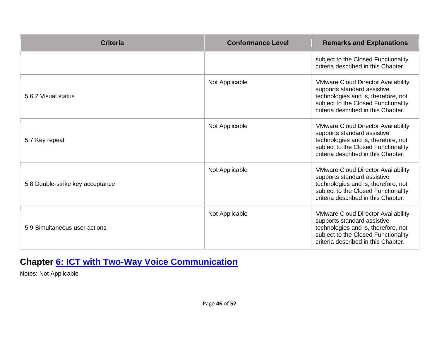| <b>Criteria</b>                  | <b>Conformance Level</b> | <b>Remarks and Explanations</b>                                                                                                                                                               |
|----------------------------------|--------------------------|-----------------------------------------------------------------------------------------------------------------------------------------------------------------------------------------------|
|                                  |                          | subject to the Closed Functionality<br>criteria described in this Chapter.                                                                                                                    |
| 5.6.2 Visual status              | Not Applicable           | <b>VMware Cloud Director Availability</b><br>supports standard assistive<br>technologies and is, therefore, not<br>subject to the Closed Functionality<br>criteria described in this Chapter. |
| 5.7 Key repeat                   | Not Applicable           | <b>VMware Cloud Director Availability</b><br>supports standard assistive<br>technologies and is, therefore, not<br>subject to the Closed Functionality<br>criteria described in this Chapter. |
| 5.8 Double-strike key acceptance | Not Applicable           | <b>VMware Cloud Director Availability</b><br>supports standard assistive<br>technologies and is, therefore, not<br>subject to the Closed Functionality<br>criteria described in this Chapter. |
| 5.9 Simultaneous user actions    | Not Applicable           | <b>VMware Cloud Director Availability</b><br>supports standard assistive<br>technologies and is, therefore, not<br>subject to the Closed Functionality<br>criteria described in this Chapter. |

# **Chapter [6: ICT with Two-Way Voice Communication](https://www.etsi.org/deliver/etsi_en/301500_301599/301549/03.01.01_60/en_301549v030101p.pdf#%5B%7B%22num%22%3A60%2C%22gen%22%3A0%7D%2C%7B%22name%22%3A%22XYZ%22%7D%2C54%2C747%2C0%5D)**

Notes: Not Applicable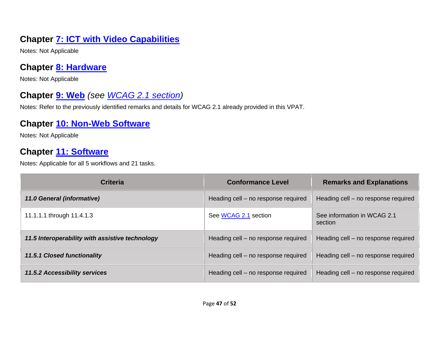# **Chapter [7: ICT with Video Capabilities](https://www.etsi.org/deliver/etsi_en/301500_301599/301549/03.01.01_60/en_301549v030101p.pdf#%5B%7B%22num%22%3A70%2C%22gen%22%3A0%7D%2C%7B%22name%22%3A%22XYZ%22%7D%2C54%2C747%2C0%5D)**

Notes: Not Applicable

### **Chapter [8: Hardware](https://www.etsi.org/deliver/etsi_en/301500_301599/301549/03.01.01_60/en_301549v030101p.pdf#%5B%7B%22num%22%3A74%2C%22gen%22%3A0%7D%2C%7B%22name%22%3A%22XYZ%22%7D%2C54%2C747%2C0%5D)**

Notes: Not Applicable

# **Chapter [9: Web](https://www.etsi.org/deliver/etsi_en/301500_301599/301549/03.01.01_60/en_301549v030101p.pdf#%5B%7B%22num%22%3A113%2C%22gen%22%3A0%7D%2C%7B%22name%22%3A%22XYZ%22%7D%2C54%2C747%2C0%5D)** *(see [WCAG 2.1](#page-3-0) section)*

Notes: Refer to the previously identified remarks and details for WCAG 2.1 already provided in this VPAT.

### **Chapter [10: Non-Web Software](https://www.etsi.org/deliver/etsi_en/301500_301599/301549/03.01.01_60/en_301549v030101p.pdf#%5B%7B%22num%22%3A127%2C%22gen%22%3A0%7D%2C%7B%22name%22%3A%22XYZ%22%7D%2C54%2C747%2C0%5D)**

Notes: Not Applicable

### **Chapter [11: Software](https://www.etsi.org/deliver/etsi_en/301500_301599/301549/03.01.01_60/en_301549v030101p.pdf#%5B%7B%22num%22%3A149%2C%22gen%22%3A0%7D%2C%7B%22name%22%3A%22XYZ%22%7D%2C54%2C747%2C0%5D)**

| <b>Criteria</b>                                 | <b>Conformance Level</b>            | <b>Remarks and Explanations</b>        |
|-------------------------------------------------|-------------------------------------|----------------------------------------|
| 11.0 General (informative)                      | Heading cell – no response required | Heading cell – no response required    |
| 11.1.1.1 through 11.4.1.3                       | See WCAG 2.1 section                | See information in WCAG 2.1<br>section |
| 11.5 Interoperability with assistive technology | Heading cell - no response required | Heading cell - no response required    |
| <b>11.5.1 Closed functionality</b>              | Heading cell - no response required | Heading cell – no response required    |
| <b>11.5.2 Accessibility services</b>            | Heading cell - no response required | Heading cell – no response required    |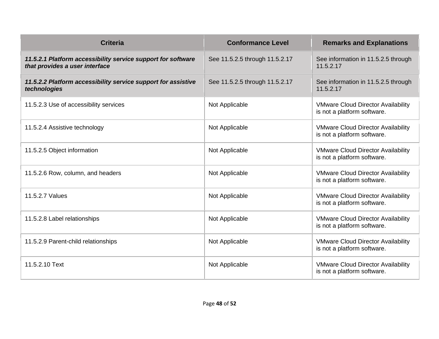| <b>Criteria</b>                                                                                | <b>Conformance Level</b>       | <b>Remarks and Explanations</b>                                          |
|------------------------------------------------------------------------------------------------|--------------------------------|--------------------------------------------------------------------------|
| 11.5.2.1 Platform accessibility service support for software<br>that provides a user interface | See 11.5.2.5 through 11.5.2.17 | See information in 11.5.2.5 through<br>11.5.2.17                         |
| 11.5.2.2 Platform accessibility service support for assistive<br>technologies                  | See 11.5.2.5 through 11.5.2.17 | See information in 11.5.2.5 through<br>11.5.2.17                         |
| 11.5.2.3 Use of accessibility services                                                         | Not Applicable                 | <b>VMware Cloud Director Availability</b><br>is not a platform software. |
| 11.5.2.4 Assistive technology                                                                  | Not Applicable                 | <b>VMware Cloud Director Availability</b><br>is not a platform software. |
| 11.5.2.5 Object information                                                                    | Not Applicable                 | <b>VMware Cloud Director Availability</b><br>is not a platform software. |
| 11.5.2.6 Row, column, and headers                                                              | Not Applicable                 | <b>VMware Cloud Director Availability</b><br>is not a platform software. |
| 11.5.2.7 Values                                                                                | Not Applicable                 | <b>VMware Cloud Director Availability</b><br>is not a platform software. |
| 11.5.2.8 Label relationships                                                                   | Not Applicable                 | <b>VMware Cloud Director Availability</b><br>is not a platform software. |
| 11.5.2.9 Parent-child relationships                                                            | Not Applicable                 | <b>VMware Cloud Director Availability</b><br>is not a platform software. |
| 11.5.2.10 Text                                                                                 | Not Applicable                 | <b>VMware Cloud Director Availability</b><br>is not a platform software. |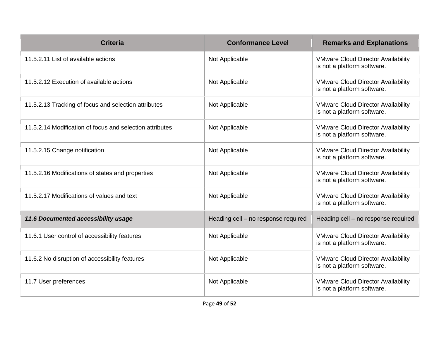| <b>Criteria</b>                                          | <b>Conformance Level</b>            | <b>Remarks and Explanations</b>                                          |
|----------------------------------------------------------|-------------------------------------|--------------------------------------------------------------------------|
| 11.5.2.11 List of available actions                      | Not Applicable                      | <b>VMware Cloud Director Availability</b><br>is not a platform software. |
| 11.5.2.12 Execution of available actions                 | Not Applicable                      | <b>VMware Cloud Director Availability</b><br>is not a platform software. |
| 11.5.2.13 Tracking of focus and selection attributes     | Not Applicable                      | <b>VMware Cloud Director Availability</b><br>is not a platform software. |
| 11.5.2.14 Modification of focus and selection attributes | Not Applicable                      | <b>VMware Cloud Director Availability</b><br>is not a platform software. |
| 11.5.2.15 Change notification                            | Not Applicable                      | <b>VMware Cloud Director Availability</b><br>is not a platform software. |
| 11.5.2.16 Modifications of states and properties         | Not Applicable                      | <b>VMware Cloud Director Availability</b><br>is not a platform software. |
| 11.5.2.17 Modifications of values and text               | Not Applicable                      | <b>VMware Cloud Director Availability</b><br>is not a platform software. |
| 11.6 Documented accessibility usage                      | Heading cell - no response required | Heading cell - no response required                                      |
| 11.6.1 User control of accessibility features            | Not Applicable                      | <b>VMware Cloud Director Availability</b><br>is not a platform software. |
| 11.6.2 No disruption of accessibility features           | Not Applicable                      | <b>VMware Cloud Director Availability</b><br>is not a platform software. |
| 11.7 User preferences                                    | Not Applicable                      | <b>VMware Cloud Director Availability</b><br>is not a platform software. |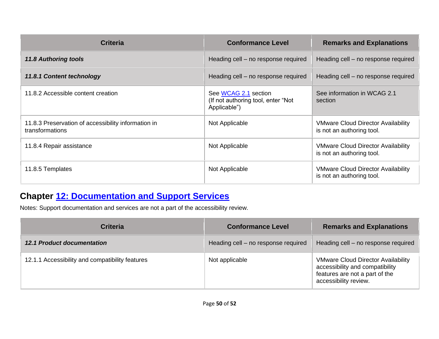| <b>Criteria</b>                                                        | <b>Conformance Level</b>                                                   | <b>Remarks and Explanations</b>                                        |
|------------------------------------------------------------------------|----------------------------------------------------------------------------|------------------------------------------------------------------------|
| <b>11.8 Authoring tools</b>                                            | Heading cell – no response required                                        | Heading cell – no response required                                    |
| 11.8.1 Content technology                                              | Heading cell – no response required                                        | Heading cell – no response required                                    |
| 11.8.2 Accessible content creation                                     | See WCAG 2.1 section<br>(If not authoring tool, enter "Not<br>Applicable") | See information in WCAG 2.1<br>section                                 |
| 11.8.3 Preservation of accessibility information in<br>transformations | Not Applicable                                                             | <b>VMware Cloud Director Availability</b><br>is not an authoring tool. |
| 11.8.4 Repair assistance                                               | Not Applicable                                                             | <b>VMware Cloud Director Availability</b><br>is not an authoring tool. |
| 11.8.5 Templates                                                       | Not Applicable                                                             | <b>VMware Cloud Director Availability</b><br>is not an authoring tool. |

### **Chapter [12: Documentation and Support Services](https://www.etsi.org/deliver/etsi_en/301500_301599/301549/03.01.01_60/en_301549v030101p.pdf#%5B%7B%22num%22%3A187%2C%22gen%22%3A0%7D%2C%7B%22name%22%3A%22XYZ%22%7D%2C54%2C747%2C0%5D)**

Notes: Support documentation and services are not a part of the accessibility review.

| <b>Criteria</b>                                 | <b>Conformance Level</b>            | <b>Remarks and Explanations</b>                                                                                                         |
|-------------------------------------------------|-------------------------------------|-----------------------------------------------------------------------------------------------------------------------------------------|
| <b>12.1 Product documentation</b>               | Heading cell - no response required | Heading cell - no response required                                                                                                     |
| 12.1.1 Accessibility and compatibility features | Not applicable                      | <b>VMware Cloud Director Availability</b><br>accessibility and compatibility<br>features are not a part of the<br>accessibility review. |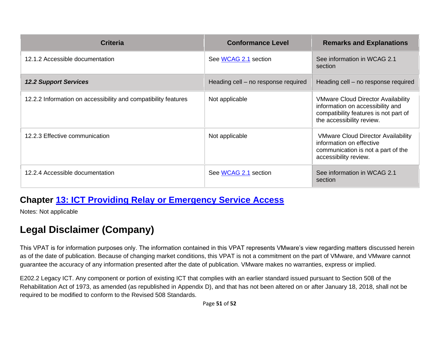| <b>Criteria</b>                                                | <b>Conformance Level</b>            | <b>Remarks and Explanations</b>                                                                                                                     |
|----------------------------------------------------------------|-------------------------------------|-----------------------------------------------------------------------------------------------------------------------------------------------------|
| 12.1.2 Accessible documentation                                | See WCAG 2.1 section                | See information in WCAG 2.1<br>section                                                                                                              |
| <b>12.2 Support Services</b>                                   | Heading cell – no response required | Heading cell – no response required                                                                                                                 |
| 12.2.2 Information on accessibility and compatibility features | Not applicable                      | <b>VMware Cloud Director Availability</b><br>information on accessibility and<br>compatibility features is not part of<br>the accessibility review. |
| 12.2.3 Effective communication                                 | Not applicable                      | <b>VMware Cloud Director Availability</b><br>information on effective<br>communication is not a part of the<br>accessibility review.                |
| 12.2.4 Accessible documentation                                | See WCAG 2.1 section                | See information in WCAG 2.1<br>section                                                                                                              |

#### **Chapter [13: ICT Providing Relay or Emergency Service Access](https://www.etsi.org/deliver/etsi_en/301500_301599/301549/03.01.01_60/en_301549v030101p.pdf#%5B%7B%22num%22%3A191%2C%22gen%22%3A0%7D%2C%7B%22name%22%3A%22XYZ%22%7D%2C54%2C747%2C0%5D)**

Notes: Not applicable

# **Legal Disclaimer (Company)**

This VPAT is for information purposes only. The information contained in this VPAT represents VMware's view regarding matters discussed herein as of the date of publication. Because of changing market conditions, this VPAT is not a commitment on the part of VMware, and VMware cannot guarantee the accuracy of any information presented after the date of publication. VMware makes no warranties, express or implied.

E202.2 Legacy ICT. Any component or portion of existing ICT that complies with an earlier standard issued pursuant to Section 508 of the Rehabilitation Act of 1973, as amended (as republished in Appendix D), and that has not been altered on or after January 18, 2018, shall not be required to be modified to conform to the Revised 508 Standards.